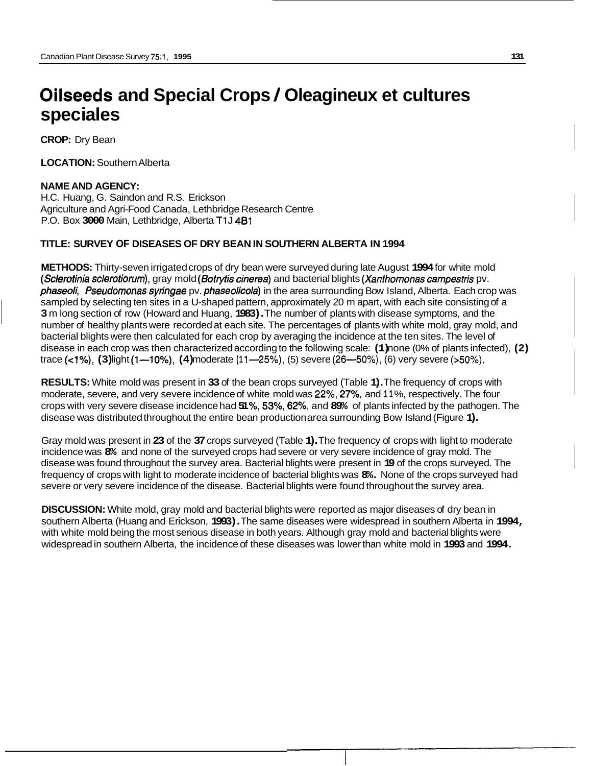# **Oilseeds and Special Crops** / **Oleagineux et cultures spec ia les**

**CROP:** Dry Bean

**LOCATION:** Southern Alberta

#### **NAME AND AGENCY:**

H.C. Huang, G. Saindon and R.S. Erickson Agriculture and Agri-Food Canada, Lethbridge Research Centre P.O. Box **3000** Main, Lethbridge, Alberta T1 J **481** 

## **TITLE: SURVEY OF DISEASES OF DRY BEAN IN SOUTHERN ALBERTA IN 1994**

**METHODS:** Thirty-seven irrigated crops of dry bean were surveyed during late August **1994** for white mold *(Sclerotinia sclerotiorum),* gray mold *(Sotryfis cinerea)* and bacterial blights *(Xanthomonas campesfris* pv. *phaseoli, Pseudomonas syringae* pv. *phaseolicola)* in the area surrounding Bow Island, Alberta. Each crop was sampled by selecting ten sites in a U-shaped pattern, approximately 20 m apart, with each site consisting of a **3** m long section of row (Howard and Huang, **1983).** The number of plants with disease symptoms, and the number of healthy plants were recorded at each site. The percentages of plants with white mold, gray mold, and bacterial blights were then calculated for each crop by averaging the incidence at the ten sites. The level of disease in each crop was then characterized according to the following scale: **(1)** none (0% of plants infected), **(2)**  trace (<1%), (3) light (1-10%), (4) moderate (11-25%), (5) severe (26-50%), (6) very severe (>50%).

**RESULTS:** White mold was present in **33** of the bean crops surveyed (Table **1).** The frequency of crops with moderate, severe, and very severe incidence of white mold was 22%, **27%,** and **1 1** %, respectively. The four crops with very severe disease incidence had **51** %, **53%, 62%,** and **89%** of plants infected by the pathogen. The disease was distributed throughout the entire bean production area surrounding Bow Island (Figure **1).** 

Gray mold was present in **23** of the **37** crops surveyed (Table **1).** The frequency of crops with light to moderate incidence was **8%** and none of the surveyed crops had severe or very severe incidence of gray mold. The disease was found throughout the survey area. Bacterial blights were present in **19** of the crops surveyed. The frequency of crops with light to moderate incidence of bacterial blights was **8%.** None of the crops surveyed had severe or very severe incidence of the disease. Bacterial blights were found throughout the survey area.

**DISCUSSION:** White mold, gray mold and bacterial blights were reported as major diseases of dry bean in southern Alberta (Huang and Erickson, **1993).** The same diseases were widespread in southern Alberta in **1994,**  with white mold being the most serious disease in both years. Although gray mold and bacterial blights were widespread in southern Alberta, the incidence of these diseases was lower than white mold in **1993** and **1994.**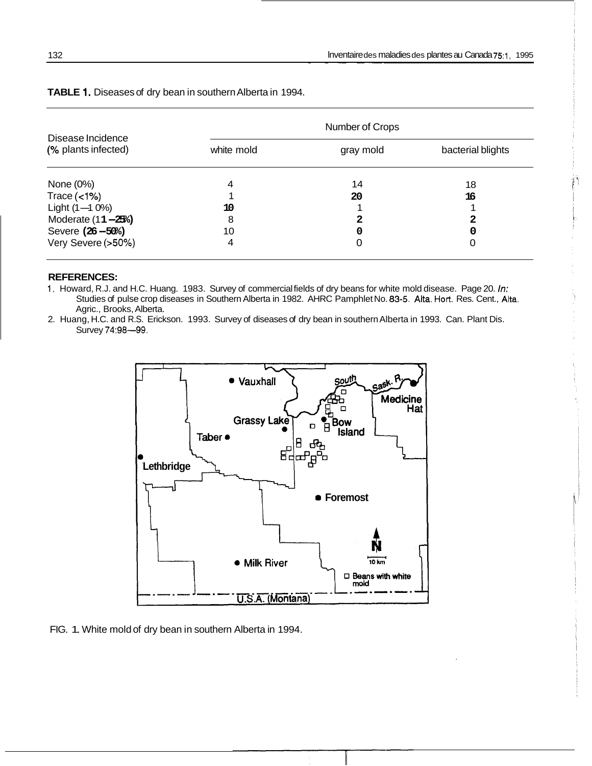|                                          | Number of Crops |           |                   |  |  |  |
|------------------------------------------|-----------------|-----------|-------------------|--|--|--|
| Disease Incidence<br>(% plants infected) | white mold      | gray mold | bacterial blights |  |  |  |
| None (0%)                                | 4               | 14        | 18                |  |  |  |
| Trace $(<1%)$                            |                 | 20        | 16                |  |  |  |
| Light (1-1 0%)                           | 10              |           |                   |  |  |  |
| Moderate (11-25%)                        | 8               | 2         | 2                 |  |  |  |
| Severe (26-50%)                          | 10              | 0         | 0                 |  |  |  |
| Very Severe (>50%)                       | 4               | 0         | 0                 |  |  |  |

**TABLE 1.** Diseases of dry bean in southern Alberta in 1994.

#### **REFERENCES:**

1. Howard, R.J. and H.C. Huang. 1983. Survey of commercial fields of dry beans for white mold disease. Page 20. *In:*  Studies of pulse crop diseases in Southern Alberta in 1982. AHRC Pamphlet No. 83-5. Aka. Hort. Res. Cent., Aka. Agric., Brooks, Alberta.

Survey 74:98-99. 2. Huang, H.C. and R.S. Erickson. 1993. Survey of diseases of dry bean in southern Alberta in 1993. Can. Plant Dis.



FIG. 1. White mold of dry bean in southern Alberta in 1994.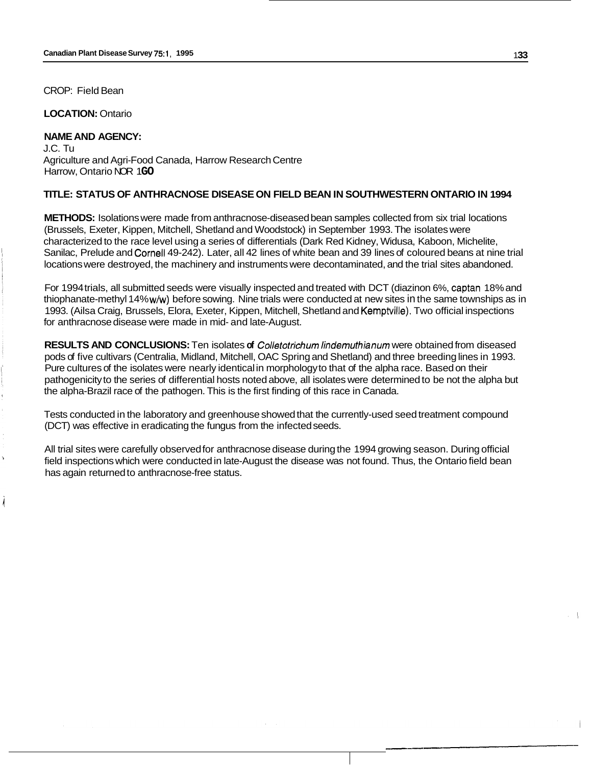CROP: Field Bean

**LOCATION:** Ontario

#### **NAME AND AGENCY:**

J.C. Tu Agriculture and Agri-Food Canada, Harrow Research Centre **Harrow, Ontario NOR 1GO** 

## **TITLE: STATUS OF ANTHRACNOSE DISEASE ON FIELD BEAN IN SOUTHWESTERN ONTARIO IN 1994**

**METHODS:** Isolations were made from anthracnose-diseased bean samples collected from six trial locations (Brussels, Exeter, Kippen, Mitchell, Shetland and Woodstock) in September 1993. The isolates were characterized to the race level using a series of differentials (Dark Red Kidney, Widusa, Kaboon, Michelite, Sanilac, Prelude and Cornell 49-242). Later, all 42 lines of white bean and 39 lines of coloured beans at nine trial locations were destroyed, the machinery and instruments were decontaminated, and the trial sites abandoned.

For 1994 trials, all submitted seeds were visually inspected and treated with DCT (diazinon 6%, captan 18% and thiophanate-methyl 14% w/w) before sowing. Nine trials were conducted at new sites in the same townships as in 1993. (Ailsa Craig, Brussels, Elora, Exeter, Kippen, Mitchell, Shetland and Kemptville). Two official inspections for anthracnose disease were made in mid- and late-August.

**RESULTS AND CONCLUSIONS:** Ten isolates **of** *Collefotrichum lindemufhianum* were obtained from diseased pods of five cultivars (Centralia, Midland, Mitchell, OAC Spring and Shetland) and three breeding lines in 1993. Pure cultures of the isolates were nearly identical in morphology to that of the alpha race. Based on their pathogenicity to the series of differential hosts noted above, all isolates were determined to be not the alpha but the alpha-Brazil race of the pathogen. This is the first finding of this race in Canada.

Tests conducted in the laboratory and greenhouse showed that the currently-used seed treatment compound (DCT) was effective in eradicating the fungus from the infected seeds.

All trial sites were carefully observed for anthracnose disease during the 1994 growing season. During official field inspections which were conducted in late-August the disease was not found. Thus, the Ontario field bean has again returned to anthracnose-free status.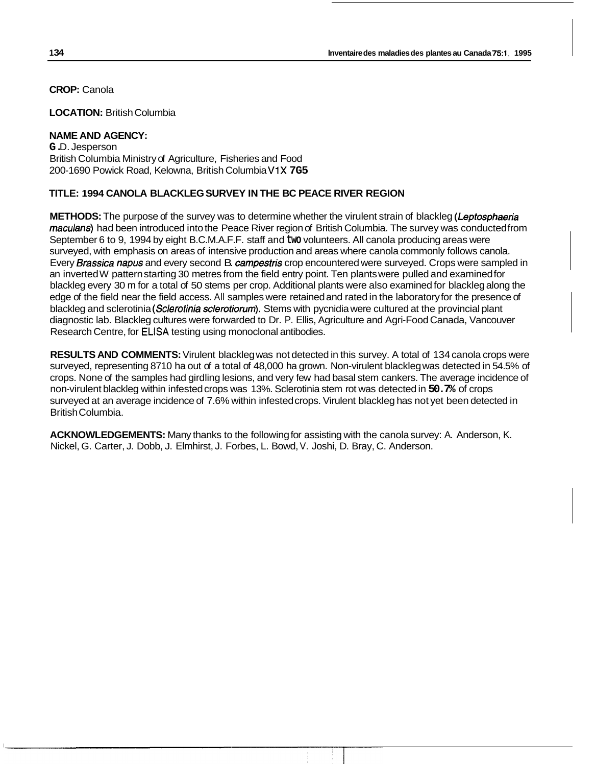**LOCATION:** British Columbia

# **NAME AND AGENCY:**

**G.** D. Jesperson British Columbia Ministry of Agriculture, Fisheries and Food 200-1690 Powick Road, Kelowna, British Columbia V1X **7G5** 

# **TITLE: 1994 CANOLA BLACKLEG SURVEY IN THE BC PEACE RIVER REGION**

**METHODS:** The purpose of the survey was to determine whether the virulent strain of blackleg *(Lepfosphaeria maculans)* had been introduced into the Peace River region of British Columbia. The survey was conducted from September 6 to 9, 1994 by eight B.C.M.A.F.F. staff and **two** volunteers. All canola producing areas were surveyed, with emphasis on areas of intensive production and areas where canola commonly follows canola. Every *Brassica napus* and every second B. *campesfris* crop encountered were surveyed. Crops were sampled in an inverted W pattern starting 30 metres from the field entry point. Ten plants were pulled and examined for blackleg every 30 m for a total of 50 stems per crop. Additional plants were also examined for blackleg along the edge of the field near the field access. All samples were retained and rated in the laboratory for the presence of blackleg and sclerotinia *(Sclerotinia sclerofiorum).* Stems with pycnidia were cultured at the provincial plant diagnostic lab. Blackleg cultures were forwarded to Dr. P. Ellis, Agriculture and Agri-Food Canada, Vancouver Research Centre, for ELISA testing using monoclonal antibodies.

**RESULTS AND COMMENTS:** Virulent blackleg was not detected in this survey. A total of 134 canola crops were surveyed, representing 8710 ha out of a total of 48,000 ha grown. Non-virulent blackleg was detected in 54.5% of crops. None of the samples had girdling lesions, and very few had basal stem cankers. The average incidence of non-virulent blackleg within infested crops was 13%. Sclerotinia stem rot was detected in **50.7%** of crops surveyed at an average incidence of 7.6% within infested crops. Virulent blackleg has not yet been detected in British Columbia.

**ACKNOWLEDGEMENTS:** Many thanks to the following for assisting with the canola survey: A. Anderson, K. Nickel, G. Carter, J. Dobb, J. Elmhirst, J. Forbes, L. Bowd, V. Joshi, D. Bray, C. Anderson.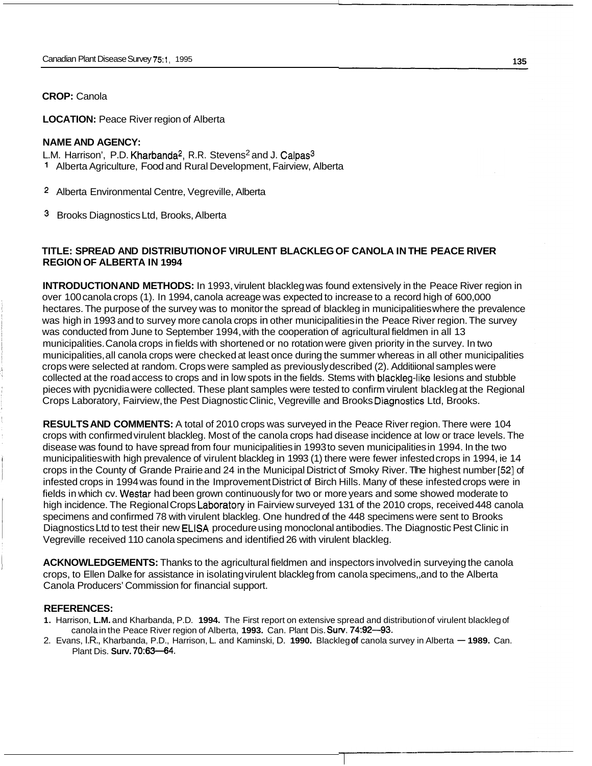**LOCATION: Peace River region of Alberta** 

#### **NAME AND AGENCY:**

L.M. Harrison', P.D. Kharbanda<sup>2</sup>, R.R. Stevens<sup>2</sup> and J. Calpas<sup>3</sup>

- **<sup>1</sup>**Alberta Agriculture, Food and Rural Development, Fairview, Alberta
- **2** Alberta Environmental Centre, Vegreville, Alberta

3 Brooks Diagnostics Ltd, Brooks, Alberta

## **TITLE: SPREAD AND DISTRIBUTION OF VIRULENT BLACKLEG OF CANOLA IN THE PEACE RIVER REGION OF ALBERTA IN 1994**

**INTRODUCTION AND METHODS:** In 1993, virulent blackleg was found extensively in the Peace River region in over 100 canola crops (1). In 1994, canola acreage was expected to increase to a record high of 600,000 hectares. The purpose of the survey was to monitor the spread of blackleg in municipalities where the prevalence was high in 1993 and to survey more canola crops in other municipalities in the Peace River region. The survey was conducted from June to September 1994, with the cooperation of agricultural fieldmen in all 13 municipalities. Canola crops in fields with shortened or no rotation were given priority in the survey. In two municipalities, all canola crops were checked at least once during the summer whereas in all other municipalities crops were selected at random. Crops were sampled as previously described (2). Additiional samples were collected at the road access to crops and in low spots in the fields. Stems with blackleg-like lesions and stubble pieces with pycnidia were collected. These plant samples were tested to confirm virulent blackleg at the Regional Crops Laboratory, Fairview, the Pest Diagnostic Clinic, Vegreville and Brooks Diagnostics Ltd, Brooks.

**RESULTS AND COMMENTS:** A total of 2010 crops was surveyed in the Peace River region. There were 104 crops with confirmed virulent blackleg. Most of the canola crops had disease incidence at low or trace levels. The disease was found to have spread from four municipalities in 1993 to seven municipalities in 1994. In the two municipalities with high prevalence of virulent blackleg in 1993 (1) there were fewer infested crops in 1994, ie 14 crops in the County of Grande Prairie and 24 in the Municipal District of Smoky River. Tlhe highest number **[52]** of infested crops in 1994 was found in the Improvement District of Birch Hills. Many of these infested crops were in fields in which cv. Westar had been grown continuously for two or more years and some showed moderate to high incidence. The Regional Crops Laboratory in Fairview surveyed 131 of the 2010 crops, received 448 canola specimens and confirmed 78 with virulent blackleg. One hundred of the 448 specimens were sent to Brooks Diagnostics Ltd to test their new ELISA procedure using monoclonal antibodies. The Diagnostic Pest Clinic in Vegreville received 110 canola specimens and identified 26 with virulent blackleg.

**ACKNOWLEDGEMENTS:** Thanks to the agricultural fieldmen and inspectors involved in surveying the canola crops, to Ellen Dalke for assistance in isolating virulent blackleg from canola specimens,, and to the Alberta Canola Producers' Commission for financial support.

#### **REFERENCES:**

- **1.** Harrison, **L.M.** and Kharbanda, P.D. **1994.** The First report on extensive spread and distribution of virulent blackleg of canola in the Peace River region of Alberta, **1993.** Can. Plant Dis. **Surv. 74:92-93.**
- 2. Evans, I.R., Kharbanda, P.D., Harrison, L. and Kaminski, D. 1990. Blackleg of canola survey in Alberta 1989. Can. Plant Dis. **Surv. 70:63-64.**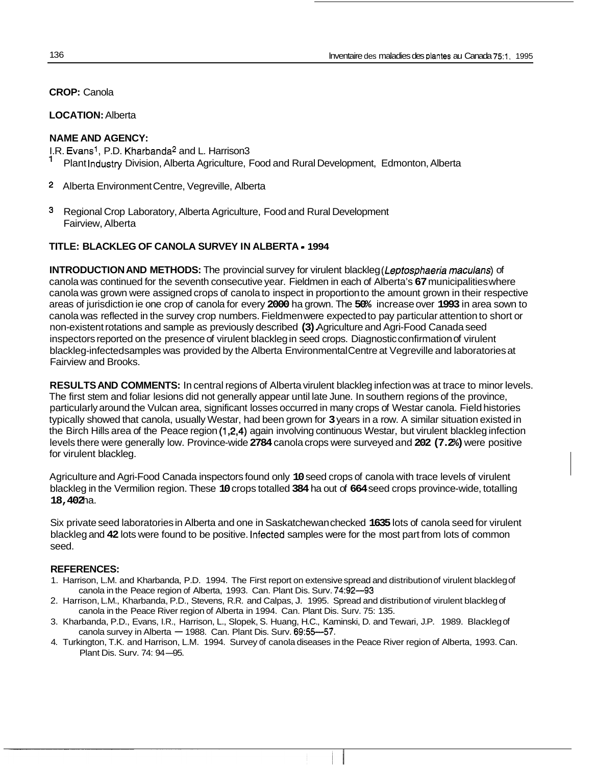**LOCATION:** Alberta

# **NAME AND AGENCY:**

- I.R. Evans', P.D. Kharbanda2 and L. Harrison3
- 1 Plant Industry Division, Alberta Agriculture, Food and Rural Development, Edmonton, Alberta
- **2** Alberta Environment Centre, Vegreville, Alberta
- Regional Crop Laboratory, Alberta Agriculture, Food and Rural Development Fairview, Alberta

# **TITLE: BLACKLEG OF CANOLA SURVEY IN ALBERTA** - **1994**

**INTRODUCTION AND METHODS:** The provincial survey for virulent blackleg *(Leptosphaeria maculans)* of canola was continued for the seventh consecutive year. Fieldmen in each of Alberta's **67** municipalities where canola was grown were assigned crops of canola to inspect in proportion to the amount grown in their respective areas of jurisdiction ie one crop of canola for every **2000** ha grown. The **50%** increase over **1993** in area sown to canola was reflected in the survey crop numbers. Fieldmen were expected to pay particular attention to short or non-existent rotations and sample as previously described **(3).** Agriculture and Agri-Food Canada seed inspectors reported on the presence of virulent blackleg in seed crops. Diagnostic confirmation of virulent blackleg-infected samples was provided by the Alberta Environmental Centre at Vegreville and laboratories at Fairview and Brooks.

**RESULTS AND COMMENTS:** In central regions of Alberta virulent blackleg infection was at trace to minor levels. The first stem and foliar lesions did not generally appear until late June. In southern regions of the province, particularly around the Vulcan area, significant losses occurred in many crops of Westar canola. Field histories typically showed that canola, usually Westar, had been grown for **3** years in a row. A similar situation existed in the Birch Hills area of the Peace region **(1,2,4)** again involving continuous Westar, but virulent blackleg infection levels there were generally low. Province-wide **2784** canola crops were surveyed and **202 (7.2%)** were positive for virulent blackleg.

Agriculture and Agri-Food Canada inspectors found only **10** seed crops of canola with trace levels of virulent blackleg in the Vermilion region. These **10** crops totalled **384** ha out of **664** seed crops province-wide, totalling **18,402** ha.

Six private seed laboratories in Alberta and one in Saskatchewan checked **1635** lots of canola seed for virulent blackleg and **42** lots were found to be positive. Infected samples were for the most part from lots of common seed.

## **REFERENCES:**

- 1. Harrison, L.M. and Kharbanda, P.D. 1994. The First report on extensive spread and distribution of virulent blackleg of canola in the Peace region of Alberta, 1993. Can. Plant Dis. Surv. 74:92--93
- 2. Harrison, L.M., Kharbanda, P.D., Stevens, R.R. and Calpas, J. 1995. Spread and distribution of virulent blackleg of canola in the Peace River region of Alberta in 1994. Can. Plant Dis. Surv. 75: 135.
- 3. Kharbanda, P.D., Evans, I.R., Harrison, L., Slopek, S. Huang, H.C., Kaminski, D. and Tewari, J.P. 1989. Blackleg of canola survey in Alberta  $-$  1988. Can. Plant Dis. Surv.  $69.55-57$ .
- 4. Turkington, T.K. and Harrison, L.M. 1994. Survey of canola diseases in the Peace River region of Alberta, 1993. Can. canola survey in Alberta —<br>;ington, T.K. and Harrison, L<br>Plant Dis. Surv. 74: 94<mark>—9</mark>5.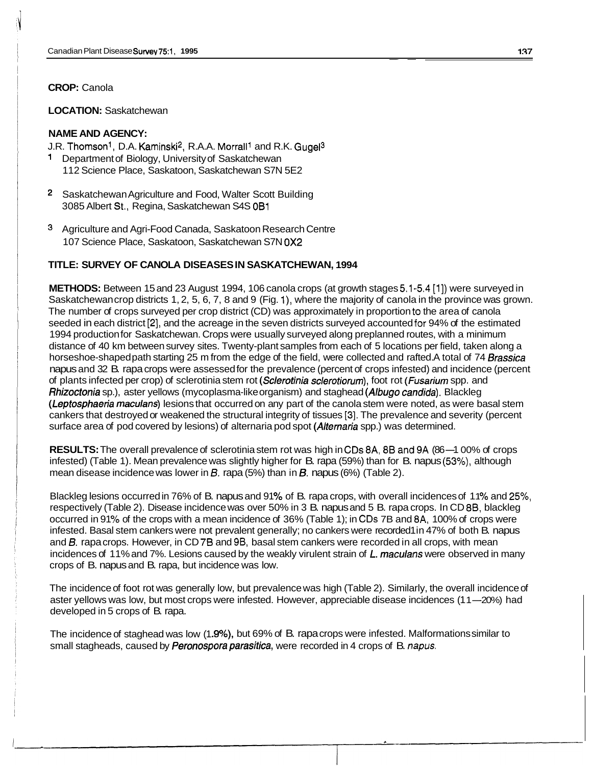**LOCATION:** Saskatchewan

# **NAME AND AGENCY:**

J.R. Thomson<sup>1</sup>, D.A. Kaminski<sup>2</sup>, R.A.A. Morrall<sup>1</sup> and R.K. Gugel<sup>3</sup>

- Department of Biology, University of Saskatchewan 112 Science Place, Saskatoon, Saskatchewan S7N 5E2
- 2 Saskatchewan Agriculture and Food, Walter Scott Building 3085 Albert St., Regina, Saskatchewan S4S OB1
- 3 Agriculture and Agri-Food Canada, Saskatoon Research Centre 107 Science Place, Saskatoon, Saskatchewan S7N OX2

#### **TITLE: SURVEY OF CANOLA DISEASES IN SASKATCHEWAN, 1994**

**METHODS:** Between 15 and 23 August 1994, 106 canola crops (at growth stages 5.1-5.4 [l]) were surveyed in Saskatchewan crop districts 1, 2, 5, 6, 7, 8 and 9 (Fig. 1), where the majority of canola in the province was grown. The number of crops surveyed per crop district (CD) was approximately in proportion to the area of canola seeded in each district [2], and the acreage in the seven districts surveyed accounted for 94% of the estimated 1994 production for Saskatchewan. Crops were usually surveyed along preplanned routes, with a minimum distance of 40 km between survey sites. Twenty-plant samples from each of 5 locations per field, taken along a horseshoe-shaped path starting 25 m from the edge of the field, were collected and rafted. A total of 74 *Brassica*  napus and 32 B. rapa crops were assessed for the prevalence (percent of crops infested) and incidence (percent of plants infected per crop) of sclerotinia stem rot *(Sclerotinia sclerotiorum),* foot rot *(Fusariurn* spp. and *Rhizoctonia* sp.), aster yellows (mycoplasma-like organism) and staghead *(Albugo candida).* Blackleg *(Leptosphaeria rnaculans)* lesions that occurred on any part of the canola stem were noted, as were basal stem cankers that destroyed or weakened the structural integrity of tissues [3]. The prevalence and severity (percent surface area of pod covered by lesions) of alternaria pod spot *(Alternaria* spp.) was determined.

**RESULTS:** The overall prevalence of sclerotinia stem rot was high in CDs 8A, 8B and 9A (86-1 00% of crops infested) (Table 1). Mean prevalence was slightly higher for B. rapa (59%) than for B. napus (53%), although mean disease incidence was lower in *B.* rapa (5%) than in *6.* napus (6%) (Table 2).

Blackleg lesions occurred in 76% of B. napus and 91 **Yo** of B. rapa crops, with overall incidences of 1 1 **Yo** and 25%, respectively (Table 2). Disease incidence was over 50% in 3 B. napus and 5 B. rapa crops. In CD 88, blackleg occurred in 91% of the crops with a mean incidence of 36% (Table 1); in CDs 7B and 8A, 100% of crops were infested. Basal stem cankers were not prevalent generally; no cankers were recorded1 in 47% of both B. napus and **0.** rapa crops. However, in CD 78 and 9B, basal stem cankers were recorded in all crops, with mean incidences of 11% and 7%. Lesions caused by the weakly virulent strain of L. maculans were observed in many crops of B. napus and B. rapa, but incidence was low.

The incidence of foot rot was generally low, but prevalence was high (Table 2). Similarly, the overall incidence of The incidence of foot rot was generally low, but prevalence was high (Table 2). Similarly, the overall incidence c<br>aster yellows was low, but most crops were infested. However, appreciable disease incidences (11—20%) had developed in 5 crops of B. rapa.

The incidence of staghead was low (1.9%), but 69% of B. rapa crops were infested. Malformations similar to small stagheads, caused by *Peronospora parasitica,* were recorded in 4 crops of B. *mapus.*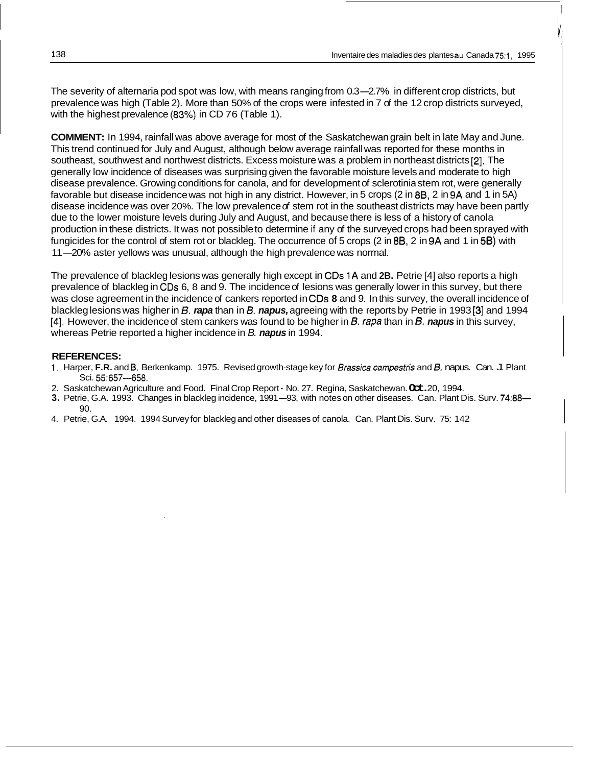The severity of alternaria pod spot was low, with means ranging from 0.3-2.7% in different crop districts, but prevalence was high (Table 2). More than 50% of the crops were infested in 7 of the 12 crop districts surveyed, with the highest prevalence **(83%)** in CD 76 (Table 1).

**COMMENT:** In 1994, rainfall was above average for most of the Saskatchewan grain belt in late May and June. This trend continued for July and August, although below average rainfall was reported for these months in southeast, southwest and northwest districts. Excess moisture was a problem in northeast districts [2]. The generally low incidence of diseases was surprising given the favorable moisture levels and moderate to high disease prevalence. Growing conditions for canola, and for development of sclerotinia stem rot, were generally favorable but disease incidence was not high in any district. However, in 5 crops (2 in *88,* 2 in 9A and 1 in 5A) disease incidence was over 20%. The low prevalence *of* stem rot in the southeast districts may have been partly due to the lower moisture levels during July and August, and because there is less of a history of canola production in these districts. It was not possible to determine if any of the surveyed crops had been sprayed with fungicides for the control of stem rot or blackleg. The occurrence of 5 crops (2 in **88,** 2 in 9A and 1 in **58)** with production in these districts. It was not possible to determine if any of the survey<br>fungicides for the control of stem rot or blackleg. The occurrence of 5 crops (2 in<br>11—20% aster yellows was unusual, although the high p

The prevalence of blackleg lesions was generally high except in **CDs** 1A and **2B.** Petrie [4] also reports a high prevalence of blackleg in CDs 6, 8 and 9. The incidence of lesions was generally lower in this survey, but there was close agreement in the incidence of cankers reported in **CDs 8** and 9. In this survey, the overall incidence of blackleg lesions was higher in *B. rapa* than in *B. napus*, agreeing with the reports by Petrie in 1993 [3] and 1994 [4]. However, the incidence of stem cankers was found to be higher in *B. rapa* than in *B. napus* in this survey, whereas Petrie reported a higher incidence in *B. napus* in 1994.

#### **REFERENCES:**

- 1. Harper, **F.R.** and **6.** Berkenkamp. 1975. Revised growth-stage key for *Brassica campesfris* and *6.* napus. Can. J. Plant Sci. 55:657-658.
- 2. Saskatchewan Agriculture and Food. Final Crop Report No. 27. Regina, Saskatchewan. **Oct.** 20, 1994.
- **3.** Petrie, G.A. 1993. Changes in blackleg incidence, 1991-93, with notes on other diseases. Can. Plant Dis. Surv. 74:88- $90^{\circ}$
- 4. Petrie, G.A. 1994. 1994 Survey for blackleg and other diseases of canola. Can. Plant Dis. Surv. 75: 142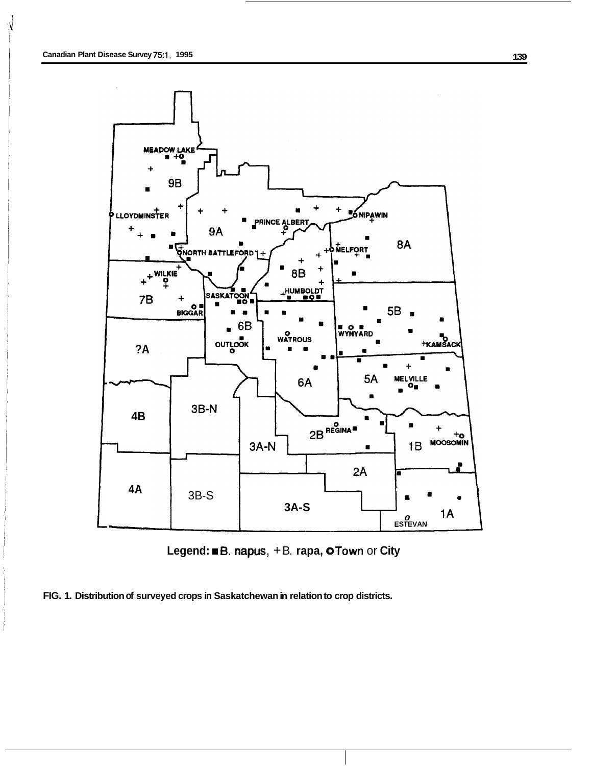



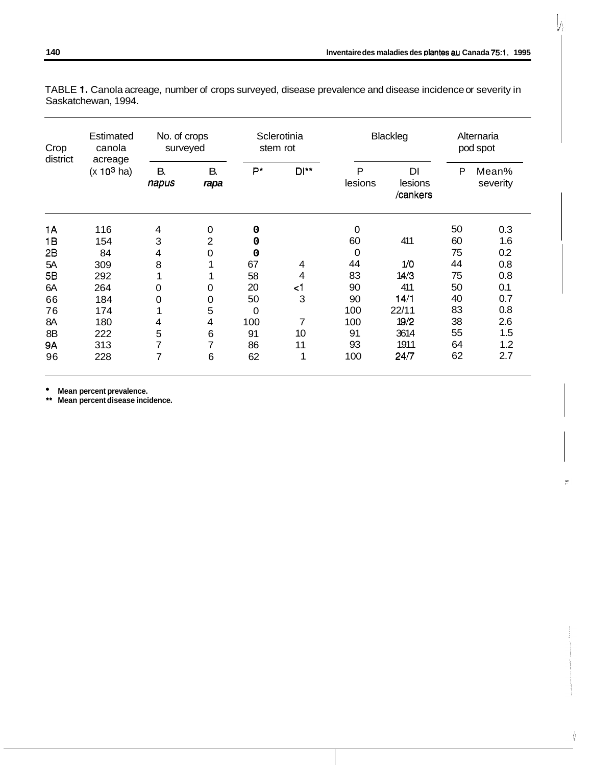| Crop<br>district<br>acreage | Estimated<br>canola | No. of crops<br>surveyed |                |     | Sclerotinia<br>stem rot |              | Blackleg                              |    | Alternaria<br>pod spot |
|-----------------------------|---------------------|--------------------------|----------------|-----|-------------------------|--------------|---------------------------------------|----|------------------------|
|                             | $(x 10^3$ ha)       | В.<br>napus              | B.<br>rapa     | P*  | DI**                    | P<br>lesions | D <sub>l</sub><br>lesions<br>/cankers | P  | Mean%<br>severity      |
| 1A                          | 116                 | 4                        | 0              | 0   |                         | 0            |                                       | 50 | 0.3                    |
| 1B                          | 154                 | 3                        | $\overline{2}$ | 0   |                         | 60           | 411                                   | 60 | 1.6                    |
| 2B                          | 84                  | 4                        | 0              | 0   |                         | 0            |                                       | 75 | 0.2                    |
| 5A                          | 309                 | 8                        |                | 67  | 4                       | 44           | 1/0                                   | 44 | 0.8                    |
| 5B                          | 292                 |                          |                | 58  | 4                       | 83           | 14/3                                  | 75 | 0.8                    |
| 6A                          | 264                 | 0                        | 0              | 20  | $\leq$ 1                | 90           | 411                                   | 50 | 0.1                    |
| 66                          | 184                 | 0                        | 0              | 50  | 3                       | 90           | 14/1                                  | 40 | 0.7                    |
| 76                          | 174                 |                          | 5              | 0   |                         | 100          | 22/11                                 | 83 | 0.8                    |
| 8A                          | 180                 | 4                        | 4              | 100 | 7                       | 100          | 19/2                                  | 38 | 2.6                    |
| 8B                          | 222                 | 5                        | $\,6\,$        | 91  | 10                      | 91           | 3614                                  | 55 | 1.5                    |
| <b>9A</b>                   | 313                 | 7                        | 7              | 86  | 11                      | 93           | 1911                                  | 64 | 1.2                    |
| 96                          | 228                 | 7                        | 6              | 62  | 1                       | 100          | 24/7                                  | 62 | 2.7                    |

TABLE **1.** Canola acreage, number of crops surveyed, disease prevalence and disease incidence or severity in Saskatchewan, 1994.

**Mean percent prevalence.** 

\*\* **Mean percent disease incidence.**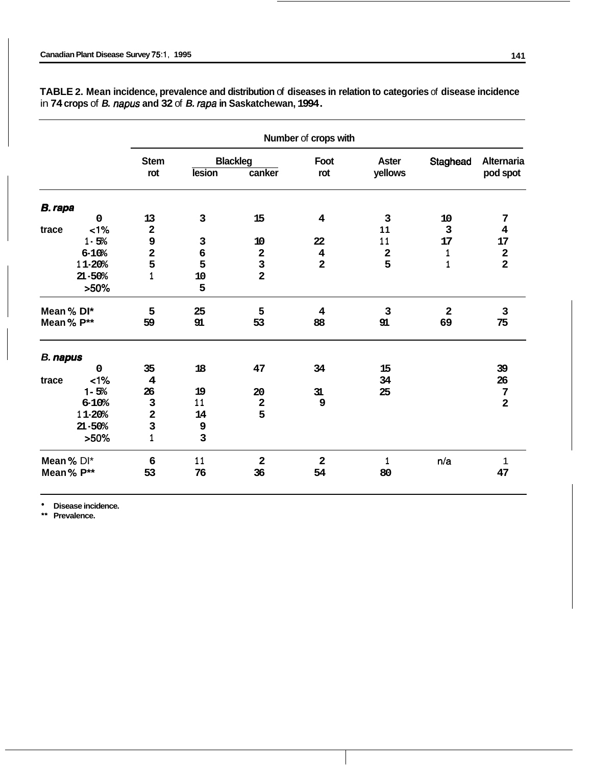|                 |             | Number of crops with    |                  |                         |                         |              |                         |                         |  |
|-----------------|-------------|-------------------------|------------------|-------------------------|-------------------------|--------------|-------------------------|-------------------------|--|
|                 |             | <b>Stem</b>             |                  | <b>Blackleg</b>         | Foot                    | <b>Aster</b> | Staghead                | <b>Alternaria</b>       |  |
|                 |             | rot                     | <b>lesion</b>    | canker                  | rot                     | yellows      |                         | pod spot                |  |
| <b>B.</b> rapa  |             |                         |                  |                         |                         |              |                         |                         |  |
|                 | $\mathbf 0$ | 13                      | 3                | 15                      | $\overline{\mathbf{4}}$ | 3            | 10                      | 7                       |  |
| trace           | <1%         | $\overline{\mathbf{2}}$ |                  |                         |                         | 11           | 3                       | 4                       |  |
|                 | $1 - 5%$    | 9                       | $\mathsf 3$      | 10                      | 22                      | 11           | 17                      | 17                      |  |
|                 | $6 - 10%$   | $\overline{\mathbf{2}}$ | $\boldsymbol{6}$ | $\mathbf 2$             | $\bf{4}$                | $\mathbf 2$  | 1                       | $\mathbf 2$             |  |
|                 | 11-20%      | 5                       | 5                | 3                       | $\overline{\mathbf{2}}$ | 5            | 1                       | $\overline{\mathbf{2}}$ |  |
|                 | $21 - 50%$  | $\mathbf{1}$            | 10               | $\overline{\mathbf{2}}$ |                         |              |                         |                         |  |
|                 | $>50\%$     |                         | 5                |                         |                         |              |                         |                         |  |
| Mean % DI*      |             | 5                       | 25               | 5                       | 4                       | $\mathbf{3}$ | $\overline{\mathbf{2}}$ | 3                       |  |
| Mean% P**       |             | 59                      | 91               | 53                      | 88                      | 91           | 69                      | 75                      |  |
| <b>B.</b> napus |             |                         |                  |                         |                         |              |                         |                         |  |
|                 | $\mathbf 0$ | 35                      | 18               | 47                      | 34                      | 15           |                         | 39                      |  |
| trace           | $<1\%$      | $\overline{\mathbf{4}}$ |                  |                         |                         | 34           |                         | 26                      |  |
|                 | $1 - 5%$    | 26                      | 19               | 20                      | 31                      | 25           |                         | $\overline{7}$          |  |
|                 | 6-10%       | $\mathsf 3$             | 11               | $\mathbf 2$             | 9                       |              |                         | $\overline{\mathbf{2}}$ |  |
|                 | 11-20%      | $\mathbf{2}$            | 14               | 5                       |                         |              |                         |                         |  |
|                 | $21 - 50%$  | $\mathbf{3}$            | $\mathsf 9$      |                         |                         |              |                         |                         |  |
|                 | $>50\%$     | 1                       | 3                |                         |                         |              |                         |                         |  |
| Mean % DI*      |             | 6                       | 11               | $\overline{\mathbf{2}}$ | $\mathbf{2}$            | 1            | n/a                     | 1                       |  |
| Mean% P**       |             | 53                      | 76               | 36                      | 54                      | 80           |                         | 47                      |  |

**TABLE 2. Mean incidence, prevalence and distribution** of **diseases in relation to categories** of **disease incidence**  in **74 crops** of *B. napus* **and 32** of *B. rapa* **in Saskatchewan, 1994.** 

**Disease incidence.** 

\*\* **Prevalence.**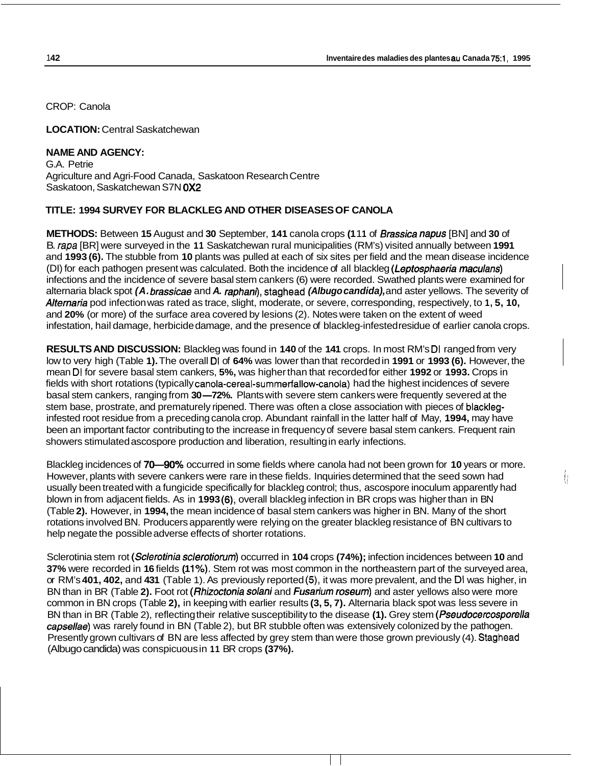ł

CROP: Canola

**LOCATION:** Central Saskatchewan

# **NAME AND AGENCY:**

G.A. Petrie Agriculture and Agri-Food Canada, Saskatoon Research Centre Saskatoon, Saskatchewan S7N **OX2** 

# **TITLE: 1994 SURVEY FOR BLACKLEG AND OTHER DISEASES OF CANOLA**

**METHODS:** Between **15** August and **30** September, **141** canola crops **(1** 1 **1** of *Brassica napus* [BN] and **30** of B. *rapa* [BR] were surveyed in the **1 1** Saskatchewan rural municipalities (RM's) visited annually between **1991**  and **1993 (6).** The stubble from **10** plants was pulled at each of six sites per field and the mean disease incidence (DI) for each pathogen present was calculated. Both the incidence of all blackleg *(Lepfosphaeria maculans)*  infections and the incidence of severe basal stem cankers (6) were recorded. Swathed plants were examined for alternaria black spot *(A. brassicae* and A. raphani), staghead *(Albugo candida)*, and aster yellows. The severity of *Alternaria* pod infection was rated as trace, slight, moderate, or severe, corresponding, respectively, to **1, 5, 10,**  and **20%** (or more) of the surface area covered by lesions (2). Notes were taken on the extent of weed infestation, hail damage, herbicide damage, and the presence of blackleg-infested residue of earlier canola crops.

**RESULTS AND DISCUSSION:** Blackleg was found in **140** of the **141** crops. In most RM's **DI** ranged from very low to very high (Table **1).** The overall **DI** of **64%** was lower than that recorded in **1991** or **1993 (6).** However, the mean **DI** for severe basal stem cankers, **5%,** was higher than that recorded for either **1992** or **1993.** Crops in fields with short rotations (typically canola-cereal-summerfallow-canola) had the highest incidences of severe mean DI for severe basal stem cankers, 5%, was higher than that recorded for either 1992 or 1993. Crops in fields with short rotations (typically canola-cereal-summerfallow-canola) had the highest incidences of severe basa stem base, prostrate, and prematurely ripened. There was often a close association with pieces of blackleginfested root residue from a preceding canola crop. Abundant rainfall in the latter half of May, **1994,** may have been an important factor contributing to the increase in frequency of severe basal stem cankers. Frequent rain showers stimulated ascospore production and liberation, resulting in early infections.

Blackleg incidences of **70-90%** occurred in some fields where canola had not been grown for **10** years or more. However, plants with severe cankers were rare in these fields. Inquiries determined that the seed sown had usually been treated with a fungicide specifically for blackleg control; thus, ascospore inoculum apparently had blown in from adjacent fields. As in **1993 (6),** overall blackleg infection in BR crops was higher than in BN (Table **2).** However, in **1994,** the mean incidence of basal stem cankers was higher in BN. Many of the short rotations involved BN. Producers apparently were relying on the greater blackleg resistance of BN cultivars to help negate the possible adverse effects of shorter rotations.

Sclerotinia stem rot *(Sclerotinia sclerofiorum)* occurred in **104** crops **(74%);** infection incidences between **10** and **37%** were recorded in **16** fields **(1 1%).** Stem rot was most common in the northeastern part of the surveyed area, or RM's **401, 402,** and **431** (Table 1). As previously reported **(5),** it was more prevalent, and the **DI** was higher, in BN than in BR (Table **2).** Foot rot *(Rhizocfonia solani* and *Fusarium roseum)* and aster yellows also were more common in BN crops (Table **2),** in keeping with earlier results **(3, 5, 7).** Alternaria black spot was less severe in BN than in BR (Table 2), reflecting their relative susceptibility to the disease **(1).** Grey stem *(Pseudocercosporella capsellae)* was rarely found in BN (Table 2), but BR stubble often was extensively colonized by the pathogen. Presently grown cultivars of BN are less affected by grey stem than were those grown previously (4). Staghead (Albugo candida) was conspicuous in **11** BR crops **(37%).**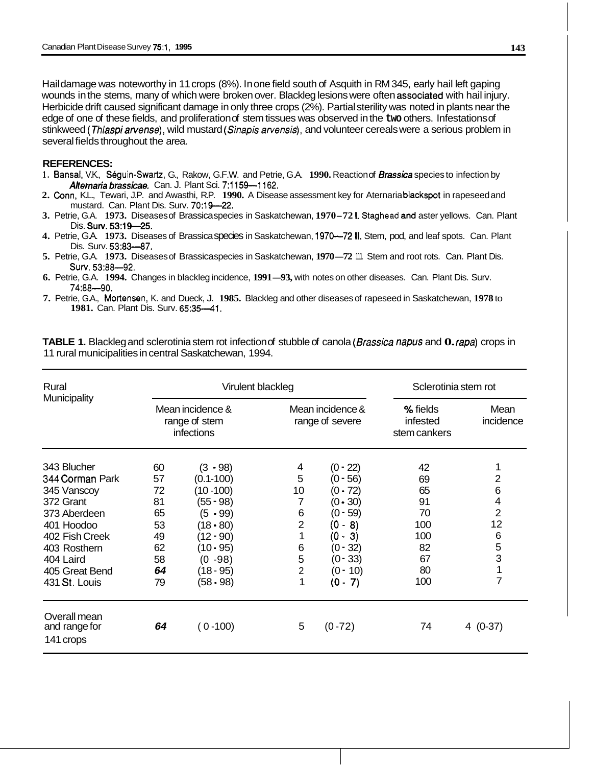Hail damage was noteworthy in 11 crops (8%). In one field south of Asquith in RM 345, early hail left gaping wounds in the stems, many of which were broken over. Blackleg lesions were often associated with hail injury. Herbicide drift caused significant damage in only three crops (2%). Partial sterility was noted in plants near the edge of one of these fields, and proliferation of stem tissues was observed in the **two** others. Infestations of stinkweed *(Thlaspi arvense),* wild mustard *(Sinapis arvensis),* and volunteer cereals were a serious problem in several fields throughout the area.

#### **REFERENCES:**

- 1. Bansal, V.K., Séguin-Swartz, G., Rakow, G.F.W. and Petrie, G.A. 1990. Reaction of *Brassica* species to infection by *Ahemaria brassicae.* Can. J. Plant Sci. **7:1159-1162.**
- **2.** Conn, K.L., Tewari, J.P. and Awasthi, R.P. **1990.** A Disease assessment key for Aternaria blackspot in rapeseed and mustard. Can. Plant Dis. Surv. **7O:lQ-22.**
- **3.** Petrie, G.A. **1973.** Diseases of Brassica species in Saskatchewan, **1970-72 1.** Staghead and1 aster yellows. Can. Plant Dis. Surv. 53:19-25.
- **4.** Petrie, G.A. **1973.** Diseases of Brassica species in Saskatchewan, **1970-72 II.** Stem, pod, and leaf spots. Can. Plant Dis. Surv. **53:83-87.**
- **5.** Petrie, G.A. **1973.** Diseases of Brassica species in Saskatchewan, **1970-72** 111. Stem and root rots. Can. Plant Dis. SUN. **53:88-92.**
- **6.** Petrie, G.A. **1994.** Changes in blackleg incidence, **1991-93,** with notes on other diseases. Can. Plant Dis. Surv. **74:88-90.**
- **7.** Petrie, G.A., Mortensen, K. and Dueck, J. **1985.** Blackleg and other diseases of rapeseed in Saskatchewan, **1978** to **1981. Can. Plant Dis. Surv. 65:35-41.**

| Rural                                                                                                                                                     |                                                          | Virulent blackleg                                                                                                                                |                                                                   |                                                                                                                                                          | Sclerotinia stem rot                                              |                                                                           |  |
|-----------------------------------------------------------------------------------------------------------------------------------------------------------|----------------------------------------------------------|--------------------------------------------------------------------------------------------------------------------------------------------------|-------------------------------------------------------------------|----------------------------------------------------------------------------------------------------------------------------------------------------------|-------------------------------------------------------------------|---------------------------------------------------------------------------|--|
| Municipality                                                                                                                                              |                                                          | Mean incidence &<br>range of stem<br><b>infections</b>                                                                                           |                                                                   | Mean incidence &<br>range of severe                                                                                                                      | % fields<br>infested<br>stem cankers                              | Mean<br>incidence                                                         |  |
| 343 Blucher<br>344 Corman Park<br>345 Vanscoy<br>372 Grant<br>373 Aberdeen<br>401 Hoodoo<br>402 Fish Creek<br>403 Rosthern<br>404 Laird<br>405 Great Bend | 60<br>57<br>72<br>81<br>65<br>53<br>49<br>62<br>58<br>64 | $(3 - 98)$<br>$(0.1 - 100)$<br>$(10 - 100)$<br>$(55 - 98)$<br>$(5 - 99)$<br>$(18 - 80)$<br>$(12 - 90)$<br>$(10 - 95)$<br>$(0 - 98)$<br>(18 - 95) | 4<br>5<br>10<br>7<br>6<br>$\overline{2}$<br>1<br>6<br>5<br>2<br>1 | $(0 - 22)$<br>$(0 - 56)$<br>$(0 - 72)$<br>$(0 - 30)$<br>$(0 - 59)$<br>$\vert$ 8)<br>(0 -<br>$\vert$ 3)<br>- 0)<br>$(0 - 32)$<br>$(0 - 33)$<br>$(0 - 10)$ | 42<br>69<br>65<br>91<br>70<br>100<br>100<br>82<br>67<br>80<br>100 | 2<br>6<br>4<br>$\overline{2}$<br>12<br>6<br>5<br>3<br>1<br>$\overline{7}$ |  |
| 431 St. Louis<br>Overall mean<br>and range for<br>141 crops                                                                                               | 79<br>64                                                 | $(58 - 98)$<br>$(0 - 100)$                                                                                                                       | 5                                                                 | $(0 - 7)$<br>$(0 - 72)$                                                                                                                                  | 74                                                                | $4(0-37)$                                                                 |  |

**TABLE 1.** Blackleg and sclerotinia stem rot infection of stubble of canola *(Brassica napus* and **0.** *rapa)* crops in 11 rural municipalities in central Saskatchewan, 1994.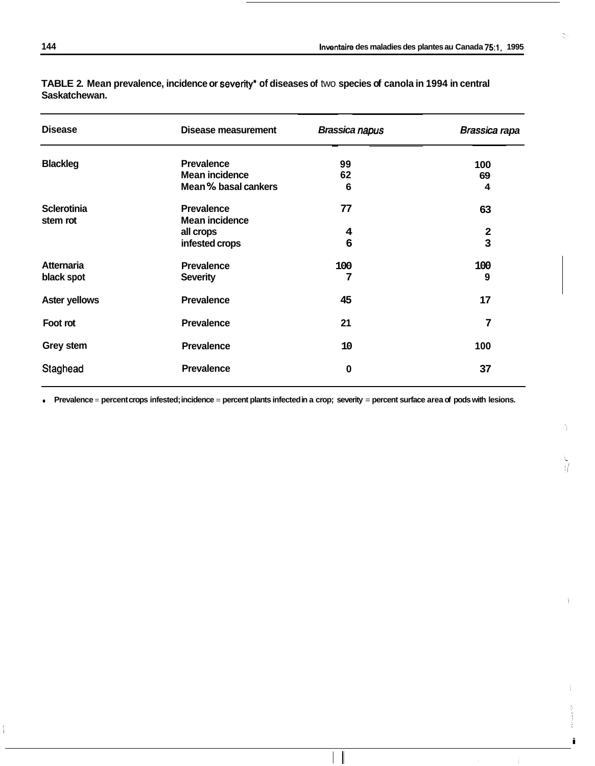$\mathbb{N}_0$ 

| <b>Disease</b>       | Disease measurement   | <b>Brassica napus</b> | Brassica rapa |
|----------------------|-----------------------|-----------------------|---------------|
| <b>Blackleg</b>      | <b>Prevalence</b>     | 99                    | 100           |
|                      | Mean incidence        | 62                    | 69            |
|                      | Mean % basal cankers  | 6                     | 4             |
| <b>Sclerotinia</b>   | <b>Prevalence</b>     | 77                    | 63            |
| stem rot             | <b>Mean incidence</b> |                       |               |
|                      | all crops             | 4                     | $\mathbf{2}$  |
|                      | infested crops        | 6                     | 3             |
| <b>Atternaria</b>    | <b>Prevalence</b>     | 100                   | 100           |
| black spot           | <b>Severity</b>       | 7                     | 9             |
| <b>Aster yellows</b> | <b>Prevalence</b>     | 45                    | 17            |
| Foot rot             | <b>Prevalence</b>     | 21                    | 7             |
| Grey stem            | <b>Prevalence</b>     | 10                    | 100           |
| Staghead             | <b>Prevalence</b>     | 0                     | 37            |

**TABLE 2. Mean prevalence, incidence or severity\* of diseases of** two **species of canola in 1994 in central Saskatchewan.** 

• Prevalence = percent crops infested; incidence = percent plants infected in a crop; severity = percent surface area of pods with lesions.

 $\mathbf{I}$ 

i

÷

Ń,

 $\sum_{i=1}^{n}$ 

 $\overline{\phantom{a}}$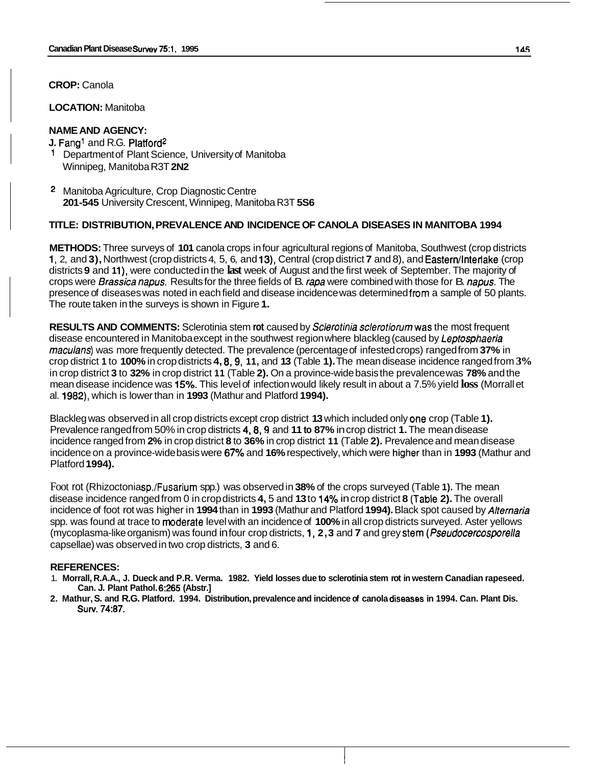**LOCATION:** Manitoba

# **NAME AND AGENCY:**

- **J. Fang<sup>1</sup>** and R.G. Platford<sup>2</sup> 1 Department of Plant Science, University of Manitoba Winnipeg, Manitoba R3T **2N2**
- <sup>2</sup> Manitoba Agriculture, Crop Diagnostic Centre **201 -545** University Crescent, Winnipeg, Manitoba R3T **5S6**

## **TITLE: DISTRIBUTION, PREVALENCE AND INCIDENCE OF CANOLA DISEASES IN MANITOBA 1994**

**METHODS:** Three surveys of **101** canola crops in four agricultural regions of Manitoba, Southwest (crop districts **1, 2, and 3), Northwest (crop districts 4, 5, 6, and 13), Central (crop district <b>7** and 8), and Eastern/Interlake (crop districts **9** and **1 l),** were conducted in the **last** week of August and the first week of September. The majority of crops were *Brassica napus.* Results for the three fields of B. *rapa* were combined with those for B. *napus.* The presence of diseases was noted in each field and disease incidence was determined from a sample of 50 plants. The route taken in the surveys is shown in Figure **1.** 

**RESULTS AND COMMENTS:** Sclerotinia stem **rot** caused by Sclerotinia sclerotiorumwas the most frequent disease encountered in Manitoba except in the southwest region where blackleg (caused by Leptosphaeria maculans) was more frequently detected. The prevalence (percentage of infested crops) ranged from **37%** in crop district **1** to **100%** in crop districts **4, 8,9, 11,** and **13** (Table **1).** The mean disease incidence ranged from **3%**  in crop district **3** to **32%** in crop district **11** (Table **2).** On a province-wide basis the prevalence was **78%** and the mean disease incidence was **15%.** This level of infection would likely result in about a 7.5% yield **loss** (Morrall et al. **1982),** which is lower than in **1993** (Mathur and Platford **1994).** 

Blackleg was observed in all crop districts except crop district **13** which included only one crop (Table **1).** Prevalence ranged from 50% in crop districts **4,8,9** and **11 to 87%** in crop district **1.** The mean disease incidence ranged from **2%** in crop district **8** to **36%** in crop district **11** (Table **2).** Prevalence and mean disease incidence on a province-wide basis were **67%** and **16%** respectively, which were higher than in **1993** (Mathur and Platford **1994).** 

Foot rot (Rhizoctonia sp./Fusarium spp.) was observed in **38%** of the crops surveyed (Table **1).** The mean disease incidence ranged from 0 in crop districts **4,** 5 and **13** to **14"/0** in crop district **8** (Hable **2).** The overall incidence of foot rot was higher in **1994** than in **1993** (Mathur and Platford **1994).** Black spot caused by Alternaria spp. was found at trace to moderate level with an incidence of **100%** in all crop districts surveyed. Aster yellows (mycoplasma-like organism) was found in four crop districts, **1, 2,3** and **7** and grey steim (Pseudocercospofella capsellae) was observed in two crop districts, **3** and 6.

## **REFERENCES:**

- 1. **Morrall, R.A.A., J. Dueck and P.R. Verma. 1982. Yield losses due to sclerotinia stem rot in western Canadian rapeseed. Can. J. Plant Pathol. 6:265 (Abstr.]**
- **2. Mathur, S. and R.G. Platford. 1994. Distribution, prevalence and incidence of canola diseases in 1994. Can. Plant Dis. Surv. 74:87.**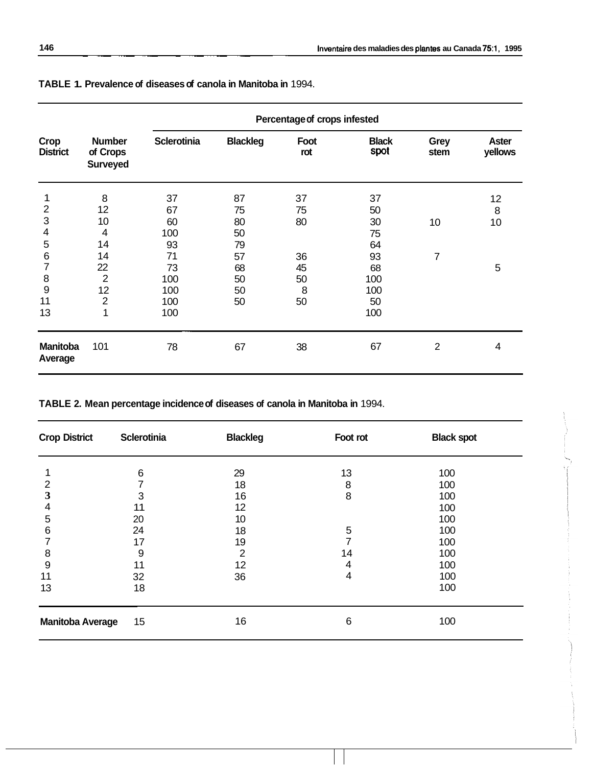|                            |                                              | Percentage of crops infested |                 |             |                      |                |                         |
|----------------------------|----------------------------------------------|------------------------------|-----------------|-------------|----------------------|----------------|-------------------------|
| Crop<br><b>District</b>    | <b>Number</b><br>of Crops<br><b>Surveyed</b> | <b>Sclerotinia</b>           | <b>Blackleg</b> | Foot<br>rot | <b>Black</b><br>spot | Grey<br>stem   | <b>Aster</b><br>yellows |
| 1                          | 8                                            | 37                           | 87              | 37          | 37                   |                | 12                      |
| $\overline{2}$             | 12                                           | 67                           | 75              | 75          | 50                   |                | 8                       |
| $\mathsf 3$                | 10                                           | 60                           | 80              | 80          | 30                   | 10             | 10                      |
| 4                          | $\overline{4}$                               | 100                          | 50              |             | 75                   |                |                         |
| 5                          | 14                                           | 93                           | 79              |             | 64                   |                |                         |
| 6                          | 14                                           | 71                           | 57              | 36          | 93                   | 7              |                         |
| 7                          | 22                                           | 73                           | 68              | 45          | 68                   |                | 5                       |
| 8                          | $\overline{2}$                               | 100                          | 50              | 50          | 100                  |                |                         |
| 9                          | 12                                           | 100                          | 50              | 8           | 100                  |                |                         |
| 11                         | $\mathbf 2$                                  | 100                          | 50              | 50          | 50                   |                |                         |
| 13                         | 1                                            | 100                          |                 |             | 100                  |                |                         |
| <b>Manitoba</b><br>Average | 101                                          | 78                           | 67              | 38          | 67                   | $\overline{2}$ | 4                       |

**TABLE 1. Prevalence of diseases of canola in Manitoba in** 1994.

~~~~ ~~~~ ~~

**TABLE 2. Mean percentage incidence of diseases of canola in Manitoba in** 1994.

| <b>Crop District</b>    | <b>Sclerotinia</b> | <b>Blackleg</b> | Foot rot | <b>Black spot</b> |  |
|-------------------------|--------------------|-----------------|----------|-------------------|--|
|                         | 6                  | 29              | 13       | 100               |  |
| 2                       |                    | 18              | 8        | 100               |  |
| 3                       | 3                  | 16              | 8        | 100               |  |
| 4                       | 11                 | 12              |          | 100               |  |
| 5                       | 20                 | 10              |          | 100               |  |
| 6                       | 24                 | 18              | 5        | 100               |  |
|                         | 17                 | 19              |          | 100               |  |
| 8                       | 9                  | 2               | 14       | 100               |  |
| 9                       | 11                 | 12              | 4        | 100               |  |
| 11                      | 32                 | 36              | 4        | 100               |  |
| 13                      | 18                 |                 |          | 100               |  |
| <b>Manitoba Average</b> | 15                 | 16              | 6        | 100               |  |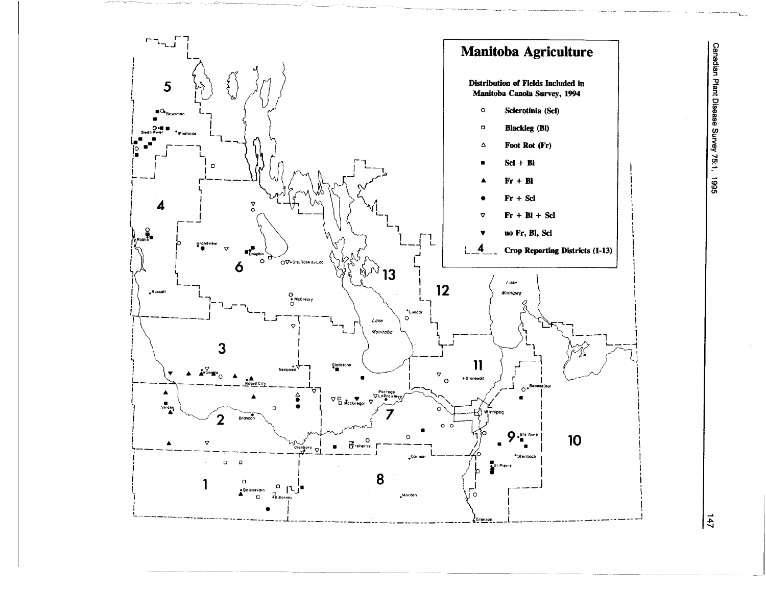

Canadian Plant Disease Survey 75:1, 1995

 $\frac{14}{7}$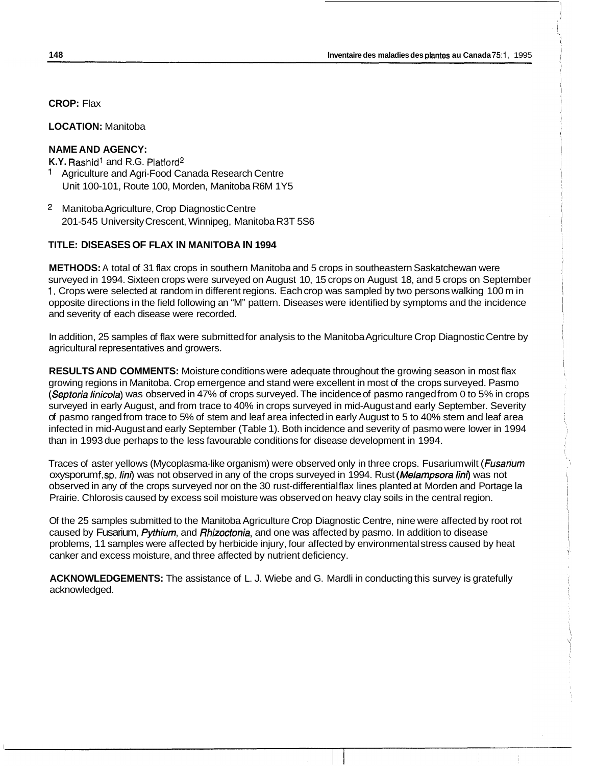**CROP:** Flax

**LOCATION:** Manitoba

## **NAME AND AGENCY:**

**K.Y.** Rashid' and R.G. Platford2

- 1 Agriculture and Agri-Food Canada Research Centre Unit 100-101, Route 100, Morden, Manitoba R6M 1Y5
- 2 Manitoba Agriculture, Crop Diagnostic Centre 201 -545 University Crescent, Winnipeg, Manitoba R3T 5S6

#### **TITLE: DISEASES OF FLAX IN MANITOBA IN 1994**

**METHODS:** A total of 31 flax crops in southern Manitoba and 5 crops in southeastern Saskatchewan were surveyed in 1994. Sixteen crops were surveyed on August 10, 15 crops on August 18, and 5 crops on September 1. Crops were selected at random in different regions. Each crop was sampled by two persons walking 100 m in opposite directions in the field following an "M" pattern. Diseases were identified by symptoms and the incidence and severity of each disease were recorded.

In addition, 25 samples of flax were submitted for analysis to the Manitoba Agriculture Crop Diagnostic Centre by agricultural representatives and growers.

**RESULTS AND COMMENTS:** Moisture conditions were adequate throughout the growing season in most flax growing regions in Manitoba. Crop emergence and stand were excellent in most of the crops surveyed. Pasmo *(Septoria linicola)* was observed in 47% of crops surveyed. The incidence of pasmo ranged from 0 to 5% in crops surveyed in early August, and from trace to 40% in crops surveyed in mid-August and early September. Severity of pasmo ranged from trace to 5% of stem and leaf area infected in early August to 5 to 40% stem and leaf area infected in mid-August and early September (Table 1). Both incidence and severity of pasmo were lower in 1994 than in 1993 due perhaps to the less favourable conditions for disease development in 1994.

Traces of aster yellows (Mycoplasma-like organism) were observed only in three crops. Fusarium wilt *(Fusarium*  oxysporum f.sp. */in0* was not observed in any of the crops surveyed in 1994. Rust *(Melampsora /in0* was not observed in any of the crops surveyed nor on the 30 rust-differential flax lines planted at Morden and Portage la Prairie. Chlorosis caused by excess soil moisture was observed on heavy clay soils in the central region.

Of the 25 samples submitted to the Manitoba Agriculture Crop Diagnostic Centre, nine were affected by root rot caused by Fusarium, *Pythium,* and *Rhizoctonia,* and one was affected by pasmo. In addition to disease problems, 11 samples were affected by herbicide injury, four affected by environmental stress caused by heat canker and excess moisture, and three affected by nutrient deficiency.

**ACKNOWLEDGEMENTS:** The assistance of L. J. Wiebe and G. Mardli in conducting this survey is gratefully acknowledged.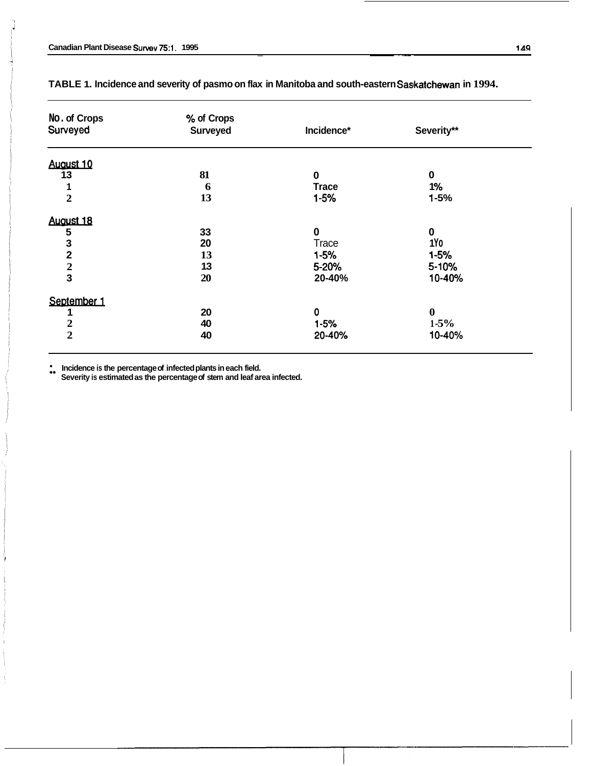| % of Crops      |              |                  |  |
|-----------------|--------------|------------------|--|
| <b>Surveyed</b> | Incidence*   | Severity**       |  |
|                 |              |                  |  |
| 81              | 0            | $\bf{0}$         |  |
| 6               | <b>Trace</b> | 1%               |  |
| 13              | $1 - 5%$     | $1 - 5%$         |  |
|                 |              |                  |  |
| 33              | 0            | $\bf{0}$         |  |
| 20              | <b>Trace</b> | 1Yo              |  |
| 13              | $1 - 5%$     | $1 - 5%$         |  |
| 13              | 5-20%        | 5-10%            |  |
| 20              | 20-40%       | 10-40%           |  |
|                 |              |                  |  |
| 20              | $\mathbf 0$  | $\boldsymbol{0}$ |  |
| 40              | $1 - 5%$     | $1 - 5\%$        |  |
| 40              | 20-40%       | 10-40%           |  |
|                 |              |                  |  |

## TABLE 1. Incidence and severity of pasmo on flax in Manitoba and south-eastern Saskatchewan in 1994.

~ ~~

\*\* **Incidence is the percentage of infected plants in each field. Severity is estimated as the percentage of stem and leaf area infected.**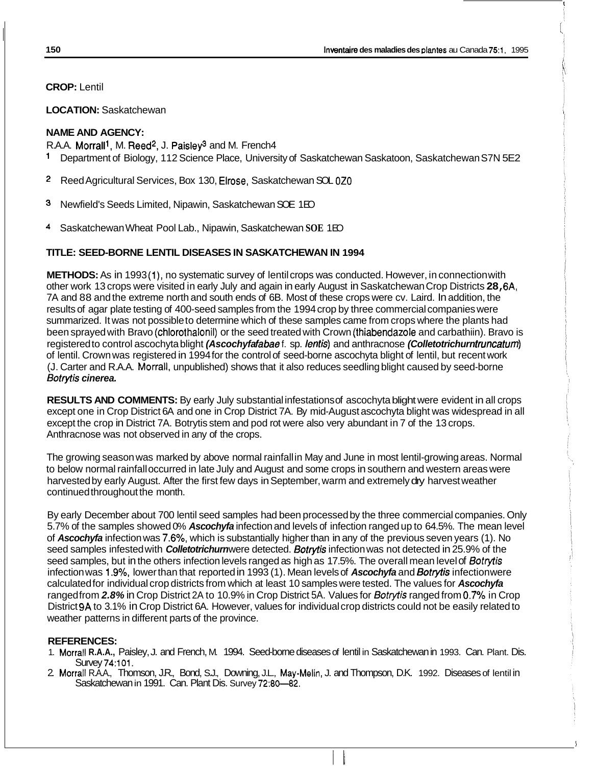I

 $\left(\begin{array}{c} 1 \end{array}\right)$ 

I

**CROP:** Lentil

**LOCATION:** Saskatchewan

# **NAME AND AGENCY:**

R.A.A. Morrall<sup>1</sup>, M. Reed<sup>2</sup>, J. Paisley<sup>3</sup> and M. French4  $\mathbf{1}$ Department of Biology, 112 Science Place, University of Saskatchewan Saskatoon, Saskatchewan S7N 5E2

- **2** Reed Agricultural Services, Box 130, Elrose, Saskatchewan SOL 020
- **3** Newfield's Seeds Limited, Nipawin, Saskatchewan SOE 1 EO
- 4 Saskatchewan Wheat Pool Lab., Nipawin, Saskatchewan **SOE** 1 EO

# **TITLE: SEED-BORNE LENTIL DISEASES IN SASKATCHEWAN IN 1994**

**METHODS:** As in 1993(1), no systematic survey of lentil crops was conducted. However, in connection with other work 13 crops were visited in early July and again in early August in Saskatchewan Crop Districts **28,** 6A, 7A and 88 and the extreme north and south ends of 6B. Most of these crops were cv. Laird. In addition, the results of agar plate testing of 400-seed samples from the 1994 crop by three commercial companies were summarized. It was not possible to determine which of these samples came from crops where the plants had been sprayed with Bravo (chlorothalonil) or the seed treated with Crown (thiabendazole and carbathiin). Bravo is registered to control ascochyta blight *(Ascochyfa fabae* f. sp. *lentis)* and anthracnose *(Colletotrichurn truncatum)* of lentil. Crown was registered in 1994 for the control of seed-borne ascochyta blight of lentil, but recent work (J. Carter and R.A.A. Morrall, unpublished) shows that it also reduces seedling blight caused by seed-borne *Sofryfis cinerea.* 

**RESULTS AND COMMENTS:** By early July substantial infestations of ascochyta blight were evident in all crops except one in Crop District 6A and one in Crop District 7A. By mid-August ascochyta blight was widespread in all except the crop in District 7A. Botrytis stem and pod rot were also very abundant in 7 of the 13 crops. Anthracnose was not observed in any of the crops.

The growing season was marked by above normal rainfall in May and June in most lentil-growing areas. Normal to below normal rainfall occurred in late July and August and some crops in southern and western areas were harvested by early August. After the first few days in September, warm and extremely dry harvest weather continued throughout the month.

By early December about 700 lentil seed samples had been processed by the three commercial companies. Only 5.7% of the samples showed 0% *Ascochyfa* infection and levels of infection ranged up to 64.5%. The mean level of *Ascochyfa* infection was 7.6%, which is substantially higher than in any of the previous seven years (1). No seed samples infested with *Colletotrichurn* were detected. *Botrytis* infection was not detected in 25.9% of the seed samples, but in the others infection levels ranged as high as 17.5%. The overall mean level of *6otrytis*  infection was 1.9%, lower than that reported in 1993 (1). Mean levels of *Ascochyfa* and *Botfyfis* infection were calculated for individual crop districts from which at least 10 samples were tested. The values for *Ascochyfa*  ranged from *2.8%* in Crop District 2A to 10.9% in Crop District 5A. Values for *Botrytis* ranged from **0.7'3'0** in Crop District 9A to 3.1% in Crop District 6A. However, values for individual crop districts could not be easily related to weather patterns in different parts of the province.

# **REFERENCES:**

- 1. Morrall **R.A.A.,** Paisley, J. and French, M. 1994. Seed-borne diseases of lentil in Saskatchewan in 1993. Can. Plant. Dis. Survey 74:101.
- 2. Morrall R.A.A., Thomson, J.R., Bond, S.J., Downing, J.L., May-Melin, J. and Thompson, D.K. 1992. Diseases of lentil in Saskatchewan in 1991. Can. Plant Dis. Survey 72:80-82.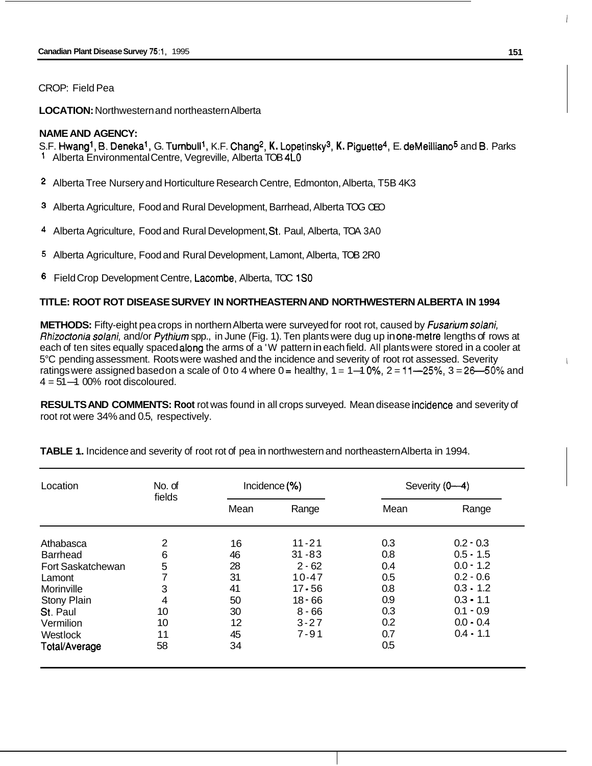### CROP: Field Pea

**LOCATION:** Northwestern and northeastern Alberta

## **NAME AND AGENCY:**

S.F. Hwangl, **B.** Denekal, G. Turnbulll, K.F. Chang2, **K.** Lopetinskys, **K.** Piguette4, E. deMeilliano5 and **B.** Parks 1 Alberta Environmental Centre, Vegreville, Alberta TOB **4LO** 

- Alberta Tree Nursery and Horticulture Research Centre, Edmonton, Alberta, T5B 4K3
- Alberta Agriculture, Food and Rural Development, Barrhead, Alberta TOG OEO
- 4 Alberta Agriculture, Food and Rural Development, St. Paul, Alberta, TOA 3A0
- 5 Alberta Agriculture, Food and Rural Development, Lamont, Alberta, TOB 2R0
- **6** Field Crop Development Centre, Lacombe, Alberta, TOC 1SO

# **TITLE: ROOT ROT DISEASE SURVEY IN NORTHEASTERN AND NORTHWESTERN ALBERTA IN 1994**

**METHODS:** Fifty-eight pea crops in northern Alberta were surveyed for root rot, caused by *Fusariurn solani, Rhizoctonia solani,* and/or *Pythiurn* spp., in June (Fig. 1). Ten plants were dug up in onemetre lengths of rows at each of ten sites equally spaced along the arms of a 'W pattern in each field. All plants were stored in a cooler at 5°C pending assessment. Roots were washed and the incidence and severity of root rot assessed. Severity each of ten sites equally spaced along the arms of a 'W pattern in each field. All plants were stored in a cooler at<br>5°C pending assessment. Roots were washed and the incidence and severity of root rot assessed. Severity<br>r ratings were assigned based on a scale of 0 to 4 where  $0 =$  healthy,  $1 = 1 - 10$ %,  $2 = 11 - 25$ %,  $3 = 26 - 50$ % and  $4 = 51 - 100$ % root discoloured.

**RESULTS AND COMMENTS: Root rot was found in all crops surveyed. Mean disease incidence and severity of** root rot were 34% and 0.5, respectively.

| Location          | No. of |      | Incidence (%) |      | Severity (0-4) |  |
|-------------------|--------|------|---------------|------|----------------|--|
|                   | fields | Mean | Range         | Mean | Range          |  |
| Athabasca         | 2      | 16   | $11 - 21$     | 0.3  | $0.2 - 0.3$    |  |
| Barrhead          | 6      | 46   | $31 - 83$     | 0.8  | $0.5 - 1.5$    |  |
| Fort Saskatchewan | 5      | 28   | $2 - 62$      | 0.4  | $0.0 - 1.2$    |  |
| Lamont            | 7      | 31   | $10 - 47$     | 0.5  | $0.2 - 0.6$    |  |
| Morinville        | 3      | 41   | $17 - 56$     | 0.8  | $0.3 - 1.2$    |  |
| Stony Plain       | 4      | 50   | $18 - 66$     | 0.9  | $0.3 - 1.1$    |  |
| St. Paul          | 10     | 30   | $8 - 66$      | 0.3  | $0.1 - 0.9$    |  |
| Vermilion         | 10     | 12   | $3 - 27$      | 0.2  | $0.0 - 0.4$    |  |
| Westlock          | 11     | 45   | $7 - 91$      | 0.7  | $0.4 - 1.1$    |  |
| Total/Average     | 58     | 34   |               | 0.5  |                |  |

**TABLE 1.** Incidence and severity of root rot of pea in northwestern and northeastern Alberta in 1994.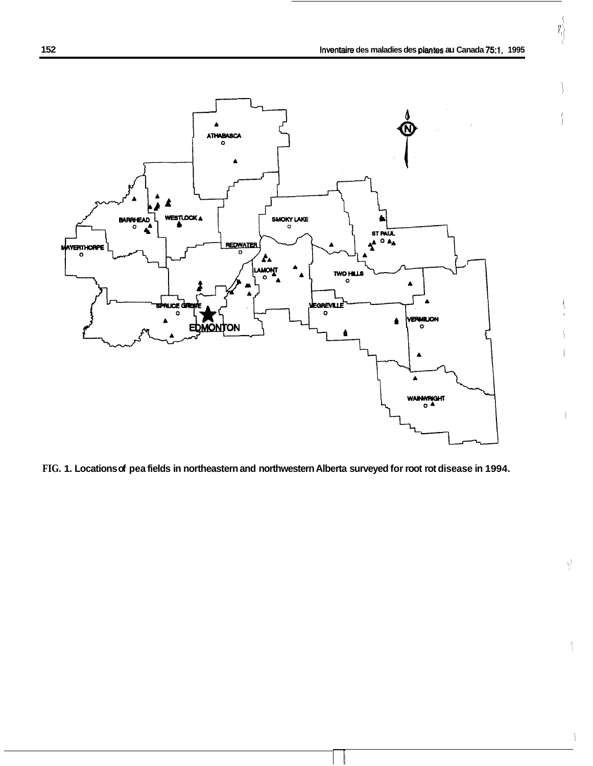,

ý.

 $\backslash$ 

 $\left\{ \begin{matrix} 1 \\ 1 \\ 0 \\ 0 \end{matrix} \right\}$ 



**FIG. 1. Locations of pea fields in northeastern and northwestern Alberta surveyed for root rot disease in 1994.**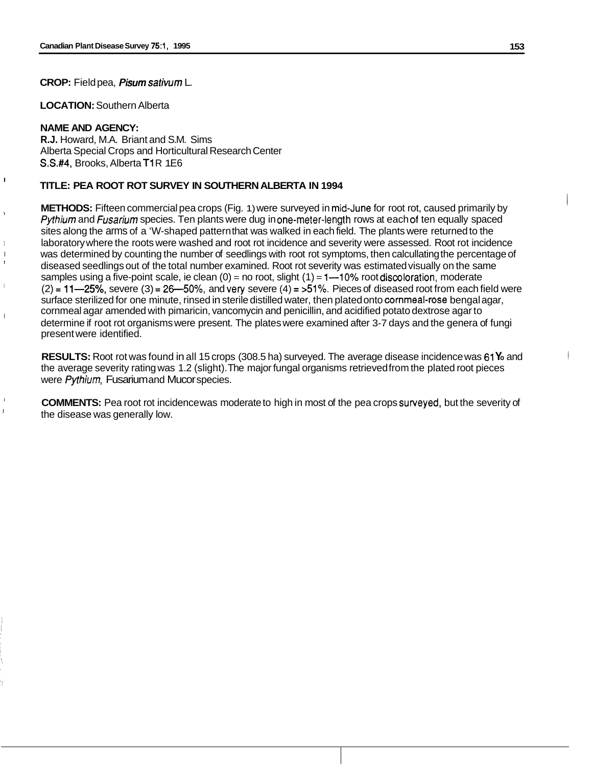**CROP:** Field pea, *Pisum satiwum* L.

**LOCATION:** Southern Alberta

#### **NAME AND AGENCY:**

I

I I I

I

I I

**R.J.** Howard, M.A. Briant and S.M. Sims Alberta Special Crops and Horticultural Research Center **S.S.#4, Brooks, Alberta T1 R 1E6** 

## **TITLE: PEA ROOT ROT SURVEY IN SOUTHERN ALBERTA IN 1994**

**METHODS:** Fifteen commercial pea crops (Fig. 1) were surveyed in mid-June for root rot, caused primarily by *Pythium* and *Fusarium* species. Ten plants were dug in one-meter-length rows at each of ten equally spaced sites along the arms of a 'W-shaped pattern that was walked in each field. The plants were returned to the laboratory where the roots were washed and root rot incidence and severity were assessed. Root rot incidence was determined by counting the number of seedlings with root rot symptoms, then calcullating the percentage of diseased seedlings out of the total number examined. Root rot severity was estimated visually on the same samples using a five-point scale, ie clean  $(0)$  = no root, slight  $(1)$  = 1--10% root discoloration, moderate  $(2) = 11 - 25\%$ , severe  $(3) = 26 - 50\%$ , and very severe  $(4) = 51\%$ . Pieces of diseased root from each field were surface sterilized for one minute, rinsed in sterile distilled water, then plated onto cornmeal-rose bengal agar, cornmeal agar amended with pimaricin, vancomycin and penicillin, and acidified potato dextrose agar to determine if root rot organisms were present. The plates were examined after 3-7 days and the genera of fungi present were identified.

**RESULTS:** Root rot was found in all 15 crops (308.5 ha) surveyed. The average disease incidence was 61 **Y**<sub>o</sub> and the average severity rating was 1.2 (slight). The major fungal organisms retrieved from the plated root pieces were *Pythium*, Fusarium and Mucor species.

**COMMENTS:** Pea root rot incidence was moderate to high in most of the pea crops surveyed, but the severity of the disease was generally low.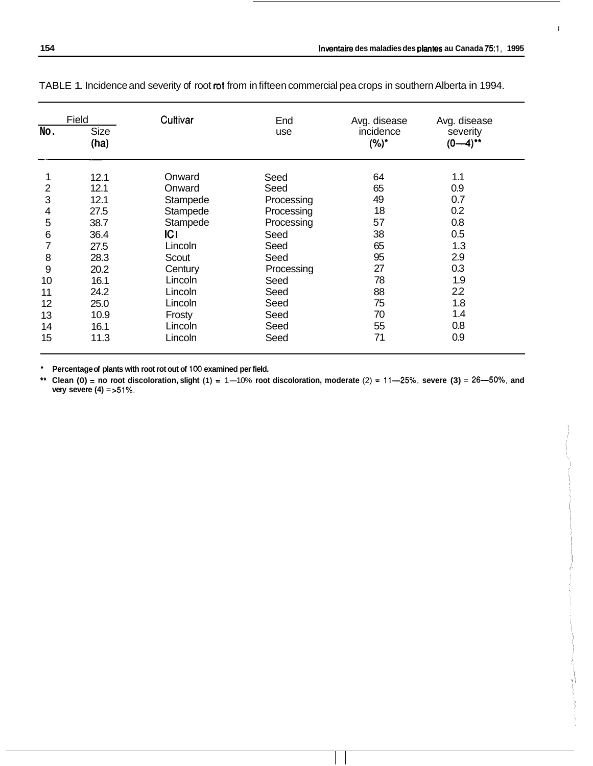ĵ

|     | Field        | Cultivar | End        | Avg. disease         | Avg. disease           |
|-----|--------------|----------|------------|----------------------|------------------------|
| No. | Size<br>(ha) |          | use        | incidence<br>$(%)^*$ | severity<br>$(0-4)$ ** |
|     | 12.1         | Onward   | Seed       | 64                   | 1.1                    |
| 2   | 12.1         | Onward   | Seed       | 65                   | 0.9                    |
| 3   | 12.1         | Stampede | Processing | 49                   | 0.7                    |
| 4   | 27.5         | Stampede | Processing | 18                   | 0.2                    |
| 5   | 38.7         | Stampede | Processing | 57                   | 0.8                    |
| 6   | 36.4         | C        | Seed       | 38                   | 0.5                    |
|     | 27.5         | Lincoln  | Seed       | 65                   | 1.3                    |
| 8   | 28.3         | Scout    | Seed       | 95                   | 2.9                    |
| 9   | 20.2         | Century  | Processing | 27                   | 0.3                    |
| 10  | 16.1         | Lincoln  | Seed       | 78                   | 1.9                    |
| 11  | 24.2         | Lincoln  | Seed       | 88                   | 2.2                    |
| 12  | 25.0         | Lincoln  | Seed       | 75                   | 1.8                    |
| 13  | 10.9         | Frosty   | Seed       | 70                   | 1.4                    |
| 14  | 16.1         | Lincoln  | Seed       | 55                   | 0.8                    |
| 15  | 11.3         | Lincoln  | Seed       | 71                   | 0.9                    |

TABLE 1. Incidence and severity of root *rot* from in fifteen commercial pea crops in southern Alberta in 1994.

\* **Percentage of plants with root rot out of** 100 **examined per field.** 

\*\* Clean  $(0)$  = no root discoloration, slight  $(1)$  = 1-10% root discoloration, moderate  $(2)$  = 11-25%, severe  $(3)$  = 26--50%, and **very severe (4)** = > 51%.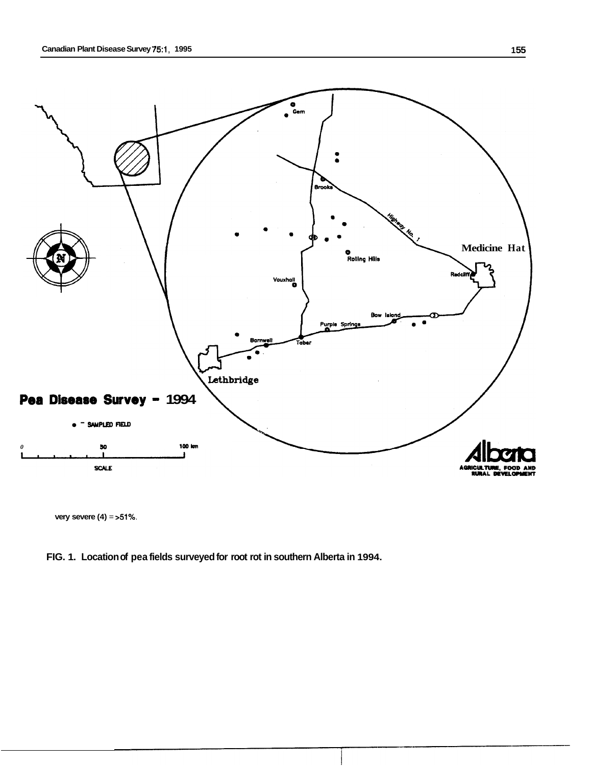

**very severe (4)** = **>51%.** 

# **FIG. 1. Location of pea fields surveyed for root rot in southern Alberta in 1994.**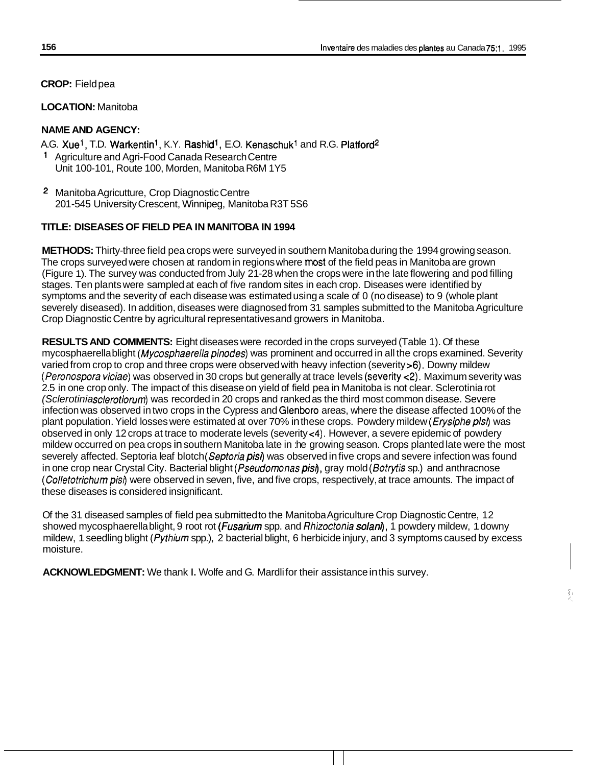**CROP:** Field pea

## **LOCATION:** Manitoba

## **NAME AND AGENCY:**

A.G. Xue<sup>1</sup>, T.D. Warkentin<sup>1</sup>, K.Y. Rashid<sup>1</sup>, E.O. Kenaschuk<sup>1</sup> and R.G. Platford<sup>2</sup> Agriculture and Agri-Food Canada Research Centre Unit 100-101, Route 100, Morden, Manitoba R6M 1Y5

**2** Manitoba Agricutture, Crop Diagnostic Centre 201 -545 University Crescent, Winnipeg, Manitoba R3T 5S6

## **TITLE: DISEASES OF FIELD PEA IN MANITOBA IN 1994**

**METHODS:** Thirty-three field pea crops were surveyed in southern Manitoba during the 1994 growing season. The crops surveyed were chosen at random in regions where **most** of the field peas in Manitoba are grown (Figure 1). The survey was conducted from July 21-28 when the crops were in the late flowering and pod filling stages. Ten plants were sampled at each of five random sites in each crop. Diseases were identified by symptoms and the severity of each disease was estimated using a scale of 0 (no disease) to 9 (whole plant severely diseased). In addition, diseases were diagnosed from 31 samples submitted to the Manitoba Agriculture Crop Diagnostic Centre by agricultural representatives and growers in Manitoba.

**RESULTS AND COMMENTS:** Eight diseases were recorded in the crops surveyed (Table 1). Of these mycosphaerella blight *(Mycosphaerella pinodes)* was prominent and occurred in all the crops examined. Severity varied from crop to crop and three crops were observed with heavy infection (severity >6). Downy mildew *(Peronospora viciae)* was observed in 30 crops but generally at trace levels (severity c2). Maximum severity was 2.5 in one crop only. The impact of this disease on yield of field pea in Manitoba is not clear. Sclerotinia rot *(Sclerotinia sclerotiorum)* was recorded in 20 crops and ranked as the third most common disease. Severe infection was observed in two crops in the Cypress and Glenboro areas, where the disease affected 100% of the plant population. Yield losses were estimated at over 70% in these crops. Powdery mildew *(Erysiphe pis/)* was observed in only 12 crops at trace to moderate levels (severity c4). However, a severe epidemic of powdery mildew occurred on pea crops in southern Manitoba late in :he growing season. Crops planted late were the most severely affected. Septoria leaf blotch *(Septoria pis/)* was observed in five crops and severe infection was found in one crop near Crystal City. Bacterial blight *(Pseudomonas pisr),* gray mold *(Sotrytis* sp.) and anthracnose *(Colletotrichumpisi)* were observed in seven, five, and five crops, respectively, at trace amounts. The impact of these diseases is considered insignificant.

Of the 31 diseased samples of field pea submitted to the Manitoba Agriculture Crop Diagnostic Centre, 12 showed mycosphaerella blight, 9 root rot *(Fusarium* spp. and *Rhizoctonia solani),* 1 powdery mildew, 1 downy mildew, 1 seedling blight *(Pythium* spp.), 2 bacterial blight, 6 herbicide injury, and 3 symptoms caused by excess moisture.

**ACKNOWLEDGMENT:** We thank **I.** Wolfe and G. Mardli for their assistance in this survey.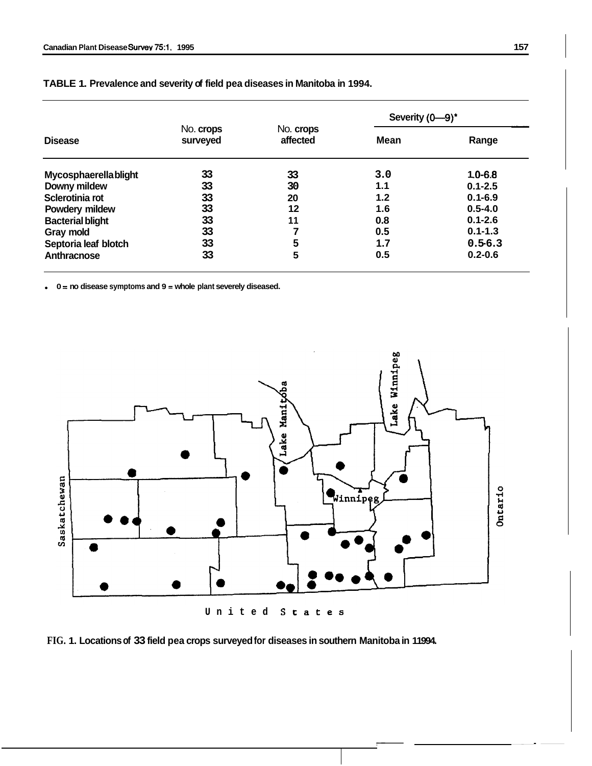|                             |                       |                       | Severity $(0-9)^*$ |             |
|-----------------------------|-----------------------|-----------------------|--------------------|-------------|
| <b>Disease</b>              | No. crops<br>surveyed | No. crops<br>affected | Mean               | Range       |
| <b>Mycosphaerellablight</b> | 33                    | 33                    | 3.0                | $1.0 - 6.8$ |
| Downy mildew                | 33                    | 30                    | 1.1                | $0.1 - 2.5$ |
| Sclerotinia rot             | 33                    | 20                    | 1.2                | $0.1 - 6.9$ |
| Powdery mildew              | 33                    | 12                    | 1.6                | $0.5 - 4.0$ |
| <b>Bacterial blight</b>     | 33                    | 11                    | 0.8                | $0.1 - 2.6$ |
| Gray mold                   | 33                    |                       | 0.5                | $0.1 - 1.3$ |
| Septoria leaf blotch        | 33                    | 5                     | 1.7                | $0.5 - 6.3$ |
| Anthracnose                 | 33                    | 5                     | 0.5                | $0.2 - 0.6$ |

| TABLE 1. Prevalence and severity of field pea diseases in Manitoba in 1994. |  |  |  |
|-----------------------------------------------------------------------------|--|--|--|
|-----------------------------------------------------------------------------|--|--|--|

**0** = **no disease symptoms and 9** = **whole plant severely diseased.** 





-. \_\_I-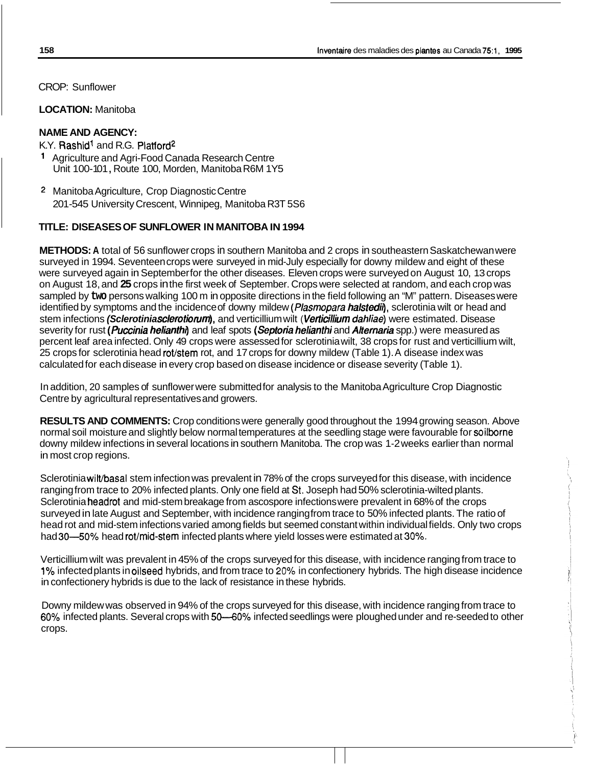CROP: Sunflower

**LOCATION:** Manitoba

# **NAME AND AGENCY:**

K.Y. Rashid' and R.G. Platford2

- Agriculture and Agri-Food Canada Research Centre Unit 100-101, Route 100, Morden, Manitoba R6M 1Y5
- 2 Manitoba Agriculture, Crop Diagnostic Centre 201 -545 University Crescent, Winnipeg, Manitoba R3T 5S6

# **TITLE: DISEASES OF SUNFLOWER IN MANITOBA IN 1994**

**METHODS: A** total of 56 sunflower crops in southern Manitoba and 2 crops in southeastern Saskatchewan were surveyed in 1994. Seventeen crops were surveyed in mid-July especially for downy mildew and eight of these were surveyed again in September for the other diseases. Eleven crops were surveyed on August 10, 13 crops on August 18, and **25** crops in the first week of September. Crops were selected at random, and each crop was sampled by **two** persons walking 100 m in opposite directions in the field following an "M" pattern. Diseases were identified by symptoms and the incidence of downy mildew *(Plasmopara halstedir),* sclerotinia wilt or head and stem infections *(Sclerotinia sclerotiorum),* and verticillium wilt ( *Verticillium dahliae)* were estimated. Disease severity for rust *(Puccinia helianthl)* and leaf spots *(Septoria helianthi* and *Alternaria* spp.) were measured as percent leaf area infected. Only 49 crops were assessed for sclerotinia wilt, 38 crops for rust and verticillium wilt, 25 crops for sclerotinia head rot/stem rot, and 17 crops for downy mildew (Table 1). A disease index was calculated for each disease in every crop based on disease incidence or disease severity (Table 1).

In addition, 20 samples of sunflower were submitted for analysis to the Manitoba Agriculture Crop Diagnostic Centre by agricultural representatives and growers.

**RESULTS AND COMMENTS:** Crop conditions were generally good throughout the 1994 growing season. Above normal soil moisture and slightly below normal temperatures at the seedling stage were favourable for soilborne downy mildew infections in several locations in southern Manitoba. The crop was 1-2 weeks earlier than normal in most crop regions.

Sclerotinia wilt/basal stem infection was prevalent in 78% of the crops surveyed for this disease, with incidence ranging from trace to 20% infected plants. Only one field at St. Joseph had 50% sclerotinia-wilted plants. Sclerotinia headrot and mid-stem breakage from ascospore infections were prevalent in 68% of the crops surveyed in late August and September, with incidence ranging from trace to 50% infected plants. The ratio of head rot and mid-stem infections varied among fields but seemed constant within individual fields. Only two crops had 30—50% head rot/mid-stem infected plants where yield losses were estimated at 30%.

Verticillium wilt was prevalent in 45% of the crops surveyed for this disease, with incidence ranging from trace to **1%** infected plants in oilseed hybrids, and from trace to **20%** in confectionery hybrids. The high disease incidence in confectionery hybrids is due to the lack of resistance in these hybrids.

Downy mildew was observed in 94% of the crops surveyed for this disease, with incidence ranging from trace to 60% infected plants. Several crops with **50430%** infected seedlings were ploughed under and re-seeded to other crops.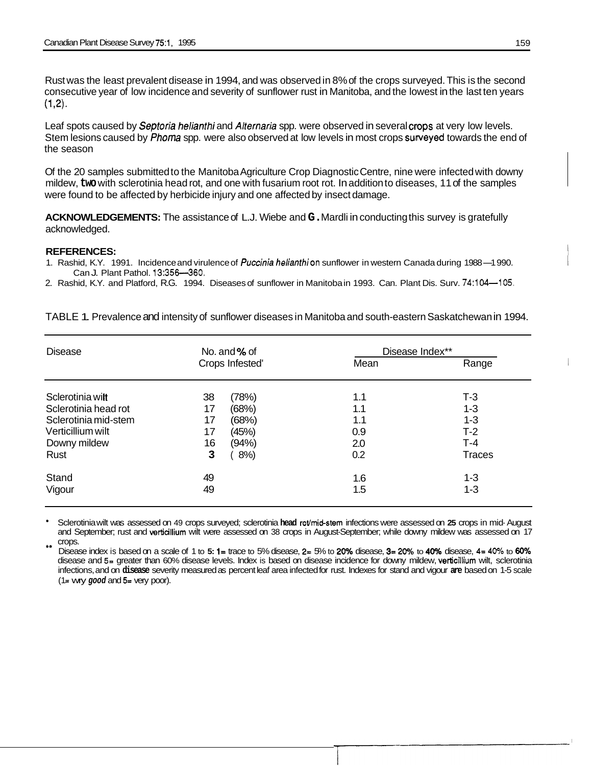Rust was the least prevalent disease in 1994, and was observed in 8% of the crops surveyed. This is the second consecutive year of low incidence and severity of sunflower rust in Manitoba, and the lowest in the last ten years  $(1,2)$ .

Leaf spots caused by *Septoria helianthi* and *Alternaria* spp. were observed in several cmps at very low levels. Stem lesions caused by *Phoma* spp. were also observed at low levels in most crops suweyed towards the end of the season

Of the 20 samples submitted to the Manitoba Agriculture Crop Diagnostic Centre, nine were infected with downy mildew, **two** with sclerotinia head rot, and one with fusarium root rot. In addition to diseases, 11 of the samples were found to be affected by herbicide injury and one affected by insect damage.

**ACKNOWLEDGEMENTS:** The assistance of L.J. Wiebe and **G.** Mardli in conducting this survey is gratefully acknowledged.

#### **REFERENCES:**

- 1. Rashid, K.Y. 1991. Incidence and virulence of Puccinia helianthion sunflower in western Canada during 1988-1990. Can J. Plant Pathol. 13:356-360.
- 2. Rashid, K.Y. and Platford, R.G. 1994. Diseases of sunflower in Manitoba in 1993. Can. Plant Dis. Surv. 74:104-105.

| No. and $%$ of  | Disease Index** |         |  |
|-----------------|-----------------|---------|--|
| Crops Infested' | Mean            | Range   |  |
| (78%)           | 1.1             | $T-3$   |  |
| (68%)           | 1.1             | $1 - 3$ |  |
| (68%)           | 1.1             | $1 - 3$ |  |
|                 | 0.9             | $T-2$   |  |
|                 | 2.0             | $T-4$   |  |
| $8%$ )          | 0.2             | Traces  |  |
|                 | 1.6             | $1 - 3$ |  |
|                 | 1.5             | $1 - 3$ |  |
|                 | (45%)<br>(94%)  |         |  |

TABLE 1. Prevalence and intensity of sunflower diseases in Manitoba and south-eastern Saskatchewan in 1994.

Sclerotinia wilt was assessed on 49 crops surveyed; sclerotinia **head** rot/mid-stem infections were assessed on **25** crops in mid- August and September; rust and vertiallium wilt were assessed on 38 crops in August-September; while downy mildew was assessed on 17 crops. \*\*

Disease index is based on a scale of 1 to **5: 1=** trace to 5% disease, **2=** 5% to **20%** disease, **3= 20%** to **40%** disease, **4= 40%** to **60Y0**  disease and 5= greater than 60% disease levels. Index is based on disease incidence for downy mildew, verticillium wilt, sclerotinia infections, and on **disease** severity measured as percent leaf area infected for rust. Indexes for stand and vigour **are** based on 1-5 scale  $(1 = Wry good and 5 = Very poor).$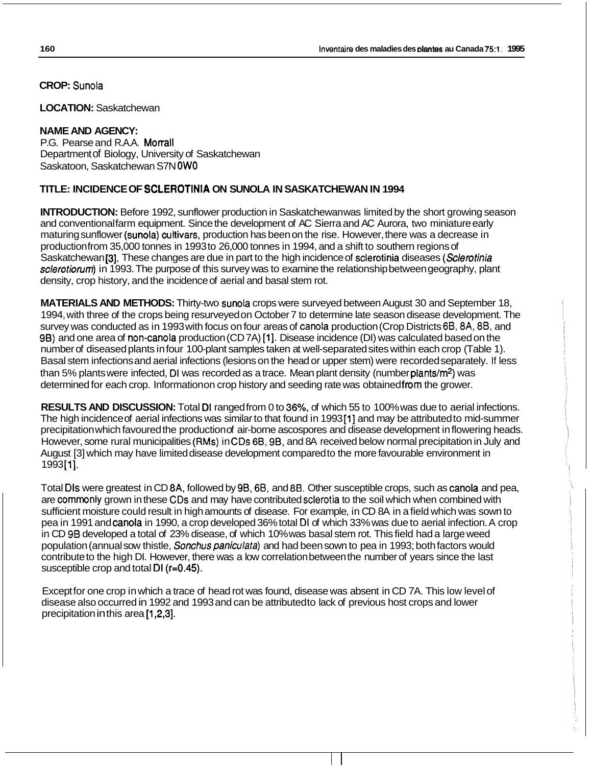**CROP:** Sunola

**LOCATION:** Saskatchewan

# **NAME AND AGENCY:**

P.G. Pearse and R.A.A. Morrall Department of Biology, University of Saskatchewan Saskatoon, Saskatchewan S7N **OW0** 

# **TITLE: INCIDENCE OF SCLEROTINIA ON SUNOLA IN SASKATCHEWAN IN 1994**

**INTRODUCTION:** Before 1992, sunflower production in Saskatchewan was limited by the short growing season and conventional farm equipment. Since the development of AC Sierra and AC Aurora, two miniature early maturing sunflower (sunola) cultivars, production has been on the rise. However, there was a decrease in production from 35,000 tonnes in 1993 to 26,000 tonnes in 1994, and a shift to southern regions of Saskatchewan 131. These changes are due in part to the high incidence of sclerotinia diseases *(sclemtinia sderotiomm)* in 1993. The purpose of this survey was to examine the relationship between geography, plant density, crop history, and the incidence of aerial and basal stem rot.

**MATERIALS AND METHODS:** Thirty-two sunola crops were surveyed between August 30 and September 18, 1994, with three of the crops being resurveyed on October 7 to determine late season disease development. The survey was conducted as in 1993 with focus on four areas of canola production (Crop Districts 6B, 8A, 8B, and 9B) and one area of non-canola production (CD7A) [1]. Disease incidence (DI) was calculated based on the number of diseased plants in four 100-plant samples taken at well-separated sites within each crop (Table 1). Basal stem infections and aerial infections (lesions on the head or upper stem) were recorded separately. If less than 5% plants were infected, DI was recorded as a trace. Mean plant density (number plants/m<sup>2</sup>) was determined for each crop. Information on crop history and seeding rate was obtained from the grower.

RESULTS AND DISCUSSION: Total DI ranged from 0 to 36%, of which 55 to 100% was due to aerial infections.<br>The high incidence of aerial infections was similar to that found in 1993[1] and may be attributed to mid-summer precipitation which favoured the production of air-borne ascospores and disease development in flowering heads. However, some rural municipalities (RMs) in CDs 6B, 9B, and 8A received below normal precipitation in July and However, some rural municipalities (HMS) in CDS 6B, 9B, and 6A received below normal precipitation in Ju<br>August [3] which may have limited disease development compared to the more favourable environment in<br>1993[1].

Total Dls were greatest in CD 8A, followed by 9B, 6B, and 88. Other susceptible crops, such as canola and pea, are commonly grown in these CDs and may have contributed sclerotia to the soil which when combined with sufficient moisture could result in high amounts of disease. For example, in CD 8A in a field which was sown to pea in 1991 and canola in 1990, a crop developed 36% total DI of which 33% was due to aerial infection. A crop in CD 9B developed a total of 23% disease, of which 10% was basal stem rot. This field had a large weed population (annual sow thistle, *Sonchus paniculata)* and had been sown to pea in 1993; both factors would contribute to the high DI. However, there was a low correlation between the number of years since the last susceptible crop and total DI (r=0.45).

Except for one crop in which a trace of head rot was found, disease was absent in CD 7A. This low level of disease also occurred in 1992 and 1993 and can be attributed to lack of previous host crops and lower precipitation in this area [1,2,3].